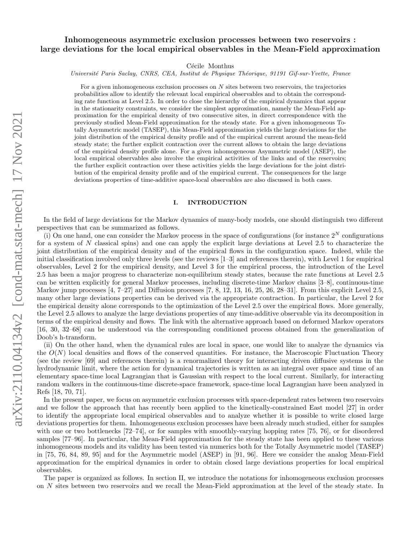# Inhomogeneous asymmetric exclusion processes between two reservoirs : large deviations for the local empirical observables in the Mean-Field approximation

Cécile Monthus

Université Paris Saclay, CNRS, CEA, Institut de Physique Théorique, 91191 Gif-sur-Yvette, France

For a given inhomogeneous exclusion processes on N sites between two reservoirs, the trajectories probabilities allow to identify the relevant local empirical observables and to obtain the corresponding rate function at Level 2.5. In order to close the hierarchy of the empirical dynamics that appear in the stationarity constraints, we consider the simplest approximation, namely the Mean-Field approximation for the empirical density of two consecutive sites, in direct correspondence with the previously studied Mean-Field approximation for the steady state. For a given inhomogeneous Totally Asymmetric model (TASEP), this Mean-Field approximation yields the large deviations for the joint distribution of the empirical density profile and of the empirical current around the mean-field steady state; the further explicit contraction over the current allows to obtain the large deviations of the empirical density profile alone. For a given inhomogeneous Asymmetric model (ASEP), the local empirical observables also involve the empirical activities of the links and of the reservoirs; the further explicit contraction over these activities yields the large deviations for the joint distribution of the empirical density profile and of the empirical current. The consequences for the large deviations properties of time-additive space-local observables are also discussed in both cases.

### I. INTRODUCTION

In the field of large deviations for the Markov dynamics of many-body models, one should distinguish two different perspectives that can be summarized as follows.

(i) On one hand, one can consider the Markov process in the space of configurations (for instance  $2^N$  configurations for a system of  $N$  classical spins) and one can apply the explicit large deviations at Level 2.5 to characterize the joint distribution of the empirical density and of the empirical flows in the configuration space. Indeed, while the initial classification involved only three levels (see the reviews [1–3] and references therein), with Level 1 for empirical observables, Level 2 for the empirical density, and Level 3 for the empirical process, the introduction of the Level 2.5 has been a major progress to characterize non-equilibrium steady states, because the rate functions at Level 2.5 can be written explicitly for general Markov processes, including discrete-time Markov chains [3–8], continuous-time Markov jump processes [4, 7–27] and Diffusion processes [7, 8, 12, 13, 16, 25, 26, 28–31]. From this explicit Level 2.5, many other large deviations properties can be derived via the appropriate contraction. In particular, the Level 2 for the empirical density alone corresponds to the optimization of the Level 2.5 over the empirical flows. More generally, the Level 2.5 allows to analyze the large deviations properties of any time-additive observable via its decomposition in terms of the empirical density and flows. The link with the alternative approach based on deformed Markov operators [16, 30, 32–68] can be understood via the corresponding conditioned process obtained from the generalization of Doob's h-transform.

(ii) On the other hand, when the dynamical rules are local in space, one would like to analyze the dynamics via the  $O(N)$  local densities and flows of the conserved quantities. For instance, the Macroscopic Fluctuation Theory (see the review [69] and references therein) is a renormalized theory for interacting driven diffusive systems in the hydrodynamic limit, where the action for dynamical trajectories is written as an integral over space and time of an elementary space-time local Lagrangian that is Gaussian with respect to the local current. Similarly, for interacting random walkers in the continuous-time discrete-space framework, space-time local Lagrangian have been analyzed in Refs [18, 70, 71].

In the present paper, we focus on asymmetric exclusion processes with space-dependent rates between two reservoirs and we follow the approach that has recently been applied to the kinetically-constrained East model [27] in order to identify the appropriate local empirical observables and to analyze whether it is possible to write closed large deviations properties for them. Inhomogeneous exclusion processes have been already much studied, either for samples with one or two bottlenecks [72–74], or for samples with smoothly-varying hopping rates [75, 76], or for disordered samples [77–96]. In particular, the Mean-Field approximation for the steady state has been applied to these various inhomogeneous models and its validity has been tested via numerics both for the Totally Asymmetric model (TASEP) in [75, 76, 84, 89, 95] and for the Asymmetric model (ASEP) in [91, 96]. Here we consider the analog Mean-Field approximation for the empirical dynamics in order to obtain closed large deviations properties for local empirical observables.

The paper is organized as follows. In section II, we introduce the notations for inhomogeneous exclusion processes on N sites between two reservoirs and we recall the Mean-Field approximation at the level of the steady state. In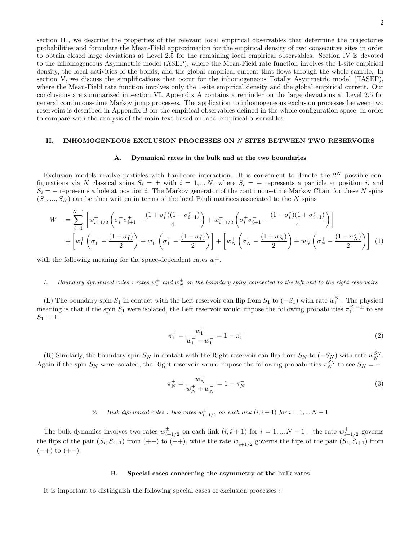section III, we describe the properties of the relevant local empirical observables that determine the trajectories probabilities and formulate the Mean-Field approximation for the empirical density of two consecutive sites in order to obtain closed large deviations at Level 2.5 for the remaining local empirical observables. Section IV is devoted to the inhomogeneous Asymmetric model (ASEP), where the Mean-Field rate function involves the 1-site empirical density, the local activities of the bonds, and the global empirical current that flows through the whole sample. In section V, we discuss the simplifications that occur for the inhomogeneous Totally Asymmetric model (TASEP), where the Mean-Field rate function involves only the 1-site empirical density and the global empirical current. Our conclusions are summarized in section VI. Appendix A contains a reminder on the large deviations at Level 2.5 for general continuous-time Markov jump processes. The application to inhomogeneous exclusion processes between two reservoirs is described in Appendix B for the empirical observables defined in the whole configuration space, in order to compare with the analysis of the main text based on local empirical observables.

#### II. INHOMOGENEOUS EXCLUSION PROCESSES ON N SITES BETWEEN TWO RESERVOIRS

#### A. Dynamical rates in the bulk and at the two boundaries

Exclusion models involve particles with hard-core interaction. It is convenient to denote the  $2^N$  possible configurations via N classical spins  $S_i = \pm$  with  $i = 1,..,N$ , where  $S_i = +$  represents a particle at position i, and  $S_i$  = – represents a hole at position i. The Markov generator of the continuous-time Markov Chain for these N spins  $(S_1, ..., S_N)$  can be then written in terms of the local Pauli matrices associated to the N spins

$$
W = \sum_{i=1}^{N-1} \left[ w_{i+1/2}^+ \left( \sigma_i^- \sigma_{i+1}^+ - \frac{(1 + \sigma_i^z)(1 - \sigma_{i+1}^z)}{4} \right) + w_{i+1/2}^- \left( \sigma_i^+ \sigma_{i+1}^- - \frac{(1 - \sigma_i^z)(1 + \sigma_{i+1}^z)}{4} \right) \right] + \left[ w_1^+ \left( \sigma_1^- - \frac{(1 + \sigma_1^z)}{2} \right) + w_1^- \left( \sigma_1^+ - \frac{(1 - \sigma_1^z)}{2} \right) \right] + \left[ w_N^+ \left( \sigma_N^- - \frac{(1 + \sigma_N^z)}{2} \right) + w_N^- \left( \sigma_N^+ - \frac{(1 - \sigma_N^z)}{2} \right) \right] (1)
$$

with the following meaning for the space-dependent rates  $w^{\pm}$ .

# 1. Boundary dynamical rules : rates  $w_1^{\pm}$  and  $w_N^{\pm}$  on the boundary spins connected to the left and to the right reservoirs

(L) The boundary spin  $S_1$  in contact with the Left reservoir can flip from  $S_1$  to  $(-S_1)$  with rate  $w_1^{S_1}$ . The physical meaning is that if the spin  $S_1$  were isolated, the Left reservoir would impose the following probabilities  $\pi_1^{S_1=\pm}$  to see  $S_1 = \pm$ 

$$
\pi_1^+ = \frac{w_1^-}{w_1^+ + w_1^-} = 1 - \pi_1^- \tag{2}
$$

(R) Similarly, the boundary spin  $S_N$  in contact with the Right reservoir can flip from  $S_N$  to  $(-S_N)$  with rate  $w_N^{S_N}$ . Again if the spin  $S_N$  were isolated, the Right reservoir would impose the following probabilities  $\pi_N^{S_N}$  to see  $S_N = \pm$ 

$$
\pi_N^+ = \frac{w_N^-}{w_N^+ + w_N^-} = 1 - \pi_N^- \tag{3}
$$

# 2. Bulk dynamical rules : two rates  $w_{i+1/2}^{\pm}$  on each link  $(i, i + 1)$  for  $i = 1, ..., N - 1$

The bulk dynamics involves two rates  $w_{i+1/2}^{\pm}$  on each link  $(i, i + 1)$  for  $i = 1, ..., N - 1$ : the rate  $w_{i+1/2}^{\pm}$  governs the flips of the pair  $(S_i, S_{i+1})$  from  $(++)$  to  $(-+)$ , while the rate  $w_{i+1/2}^-$  governs the flips of the pair  $(S_i, S_{i+1})$  from  $(-+)$  to  $(+-)$ .

#### B. Special cases concerning the asymmetry of the bulk rates

It is important to distinguish the following special cases of exclusion processes :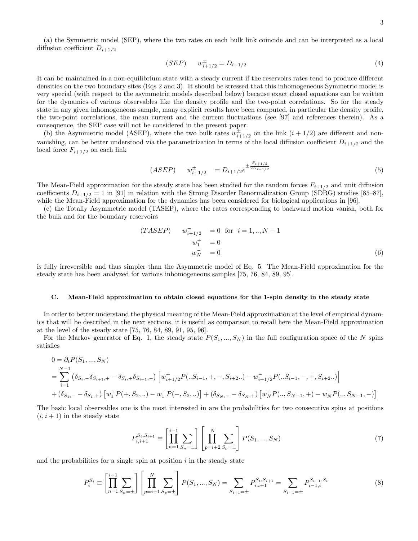(a) the Symmetric model (SEP), where the two rates on each bulk link coincide and can be interpreted as a local diffusion coefficient  $D_{i+1/2}$ 

$$
(SEP) \t w_{i+1/2}^{\pm} = D_{i+1/2} \t\t(4)
$$

It can be maintained in a non-equilibrium state with a steady current if the reservoirs rates tend to produce different densities on the two boundary sites (Eqs 2 and 3). It should be stressed that this inhomogeneous Symmetric model is very special (with respect to the asymmetric models described below) because exact closed equations can be written for the dynamics of various observables like the density profile and the two-point correlations. So for the steady state in any given inhomogeneous sample, many explicit results have been computed, in particular the density profile, the two-point correlations, the mean current and the current fluctuations (see [97] and references therein). As a consequence, the SEP case will not be considered in the present paper.

(b) the Asymmetric model (ASEP), where the two bulk rates  $w_{i+1/2}^{\pm}$  on the link  $(i + 1/2)$  are different and nonvanishing, can be better understood via the parametrization in terms of the local diffusion coefficient  $D_{i+1/2}$  and the local force  $F_{i+1/2}$  on each link

$$
(ASEP) \t w_{i+1/2}^{\pm} = D_{i+1/2} e^{\pm \frac{F_{i+1/2}}{2D_{i+1/2}}} \t\t(5)
$$

The Mean-Field approximation for the steady state has been studied for the random forces  $F_{i+1/2}$  and unit diffusion coefficients  $D_{i+1/2} = 1$  in [91] in relation with the Strong Disorder Renormalization Group (SDRG) studies [85–87], while the Mean-Field approximation for the dynamics has been considered for biological applications in [96].

(c) the Totally Asymmetric model (TASEP), where the rates corresponding to backward motion vanish, both for the bulk and for the boundary reservoirs

$$
(TASEP) \t w_{i+1/2}^{-} = 0 \t \t for \t i = 1,.., N-1\t w_{1}^{+} = 0\t w_{N}^{-} = 0
$$
\t(6)

is fully irreversible and thus simpler than the Asymmetric model of Eq. 5. The Mean-Field approximation for the steady state has been analyzed for various inhomogeneous samples [75, 76, 84, 89, 95].

#### C. Mean-Field approximation to obtain closed equations for the 1-spin density in the steady state

In order to better understand the physical meaning of the Mean-Field approximation at the level of empirical dynamics that will be described in the next sections, it is useful as comparison to recall here the Mean-Field approximation at the level of the steady state [75, 76, 84, 89, 91, 95, 96].

For the Markov generator of Eq. 1, the steady state  $P(S_1, ..., S_N)$  in the full configuration space of the N spins satisfies

$$
0 = \partial_t P(S_1, ..., S_N)
$$
  
=  $\sum_{i=1}^{N-1} (\delta_{S_i, -} \delta_{S_{i+1}, +} - \delta_{S_i, +} \delta_{S_{i+1}, -}) \left[ w_{i+1/2}^+ P(...S_{i-1}, +, -, S_{i+2}..) - w_{i+1/2}^- P(...S_{i-1}, -, +, S_{i+2}..) \right]$   
+  $(\delta_{S_1, -} - \delta_{S_1, +}) \left[ w_1^+ P(+, S_2, ..) - w_1^- P(-, S_2, ..) \right] + (\delta_{S_N, -} - \delta_{S_N, +}) \left[ w_N^+ P(..., S_{N-1}, +) - w_N^- P(..., S_{N-1}, -) \right]$ 

The basic local observables one is the most interested in are the probabilities for two consecutive spins at positions  $(i, i + 1)$  in the steady state

$$
P_{i,i+1}^{S_i, S_{i+1}} \equiv \left[ \prod_{n=1}^{i-1} \sum_{S_n = \pm} \right] \left[ \prod_{p=i+2}^{N} \sum_{S_p = \pm} \right] P(S_1, ..., S_N)
$$
 (7)

and the probabilities for a single spin at position  $i$  in the steady state

$$
P_i^{S_i} \equiv \left[ \prod_{n=1}^{i-1} \sum_{S_n = \pm} \right] \left[ \prod_{p=i+1}^N \sum_{S_p = \pm} \right] P(S_1, ..., S_N) = \sum_{S_{i+1} = \pm} P_{i,i+1}^{S_i, S_{i+1}} = \sum_{S_{i-1} = \pm} P_{i-1,i}^{S_{i-1}, S_i}
$$
(8)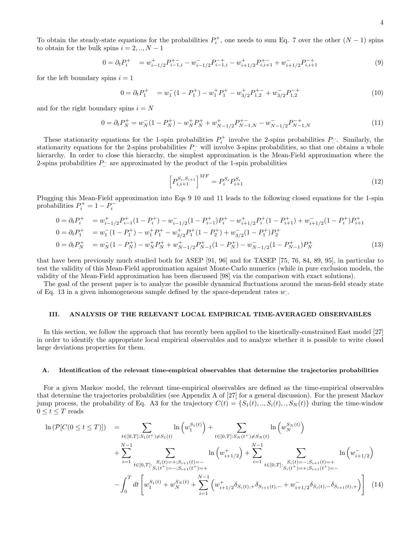$$
0 = \partial_t P_i^+ = w_{i-1/2}^+ P_{i-1,i}^- - w_{i-1/2}^- P_{i-1,i}^- - w_{i+1/2}^+ P_{i,i+1}^+ + w_{i+1/2}^- P_{i,i+1}^- \tag{9}
$$

for the left boundary spins  $i = 1$ 

$$
0 = \partial_t P_1^+ = w_1^- (1 - P_1^+) - w_1^+ P_1^+ - w_{3/2}^+ P_{1,2}^+ + w_{3/2}^- P_{1,2}^- \tag{10}
$$

and for the right boundary spins  $i = N$ 

$$
0 = \partial_t P_N^+ = w_N^- (1 - P_N^+) - w_N^+ P_N^+ + w_{N-1/2}^+ P_{N-1,N}^+ - w_{N-1/2}^- P_{N-1,N}^- \tag{11}
$$

These stationarity equations for the 1-spin probabilities  $P_i^+$  involve the 2-spins probabilities  $P_{\ldots}$ . Similarly, the stationarity equations for the 2-spins probabilities  $P_{\dots}$  will involve 3-spins probabilities, so that one obtains a whole hierarchy. In order to close this hierarchy, the simplest approximation is the Mean-Field approximation where the 2-spins probabilities  $P_{\dots}$  are approximated by the product of the 1-spin probabilities

$$
\left[P_{i,i+1}^{S_i, S_{i+1}}\right]^{MF} = P_i^{S_i} P_{i+1}^{S_i}
$$
\n(12)

Plugging this Mean-Field approximation into Eqs 9 10 and 11 leads to the following closed equations for the 1-spin probabilities  $P_i^+ = 1 - P_i^-$ 

$$
0 = \partial_t P_i^+ = w_{i-1/2}^+ P_{i-1}^+ (1 - P_i^+) - w_{i-1/2}^- (1 - P_{i-1}^+) P_i^+ - w_{i+1/2}^+ P_i^+ (1 - P_{i+1}^+) + w_{i+1/2}^- (1 - P_i^+) P_{i+1}^+
$$
  
\n
$$
0 = \partial_t P_1^+ = w_1^- (1 - P_1^+) - w_1^+ P_1^+ - w_{3/2}^+ P_1^+ (1 - P_2^+) + w_{3/2}^- (1 - P_1^+) P_2^+
$$
  
\n
$$
0 = \partial_t P_N^+ = w_N^- (1 - P_N^+) - w_N^+ P_N^+ + w_{N-1/2}^+ P_{N-1}^+ (1 - P_N^+) - w_{N-1/2}^- (1 - P_{N-1}^+) P_N^+
$$
\n
$$
(13)
$$

that have been previously much studied both for ASEP [91, 96] and for TASEP [75, 76, 84, 89, 95], in particular to test the validity of this Mean-Field approximation against Monte-Carlo numerics (while in pure exclusion models, the validity of the Mean-Field approximation has been discussed [98] via the comparison with exact solutions).

The goal of the present paper is to analyze the possible dynamical fluctuations around the mean-field steady state of Eq. 13 in a given inhomogeneous sample defined by the space-dependent rates  $w$ .

### III. ANALYSIS OF THE RELEVANT LOCAL EMPIRICAL TIME-AVERAGED OBSERVABLES

In this section, we follow the approach that has recently been applied to the kinetically-constrained East model [27] in order to identify the appropriate local empirical observables and to analyze whether it is possible to write closed large deviations properties for them.

#### A. Identification of the relevant time-empirical observables that determine the trajectories probabilities

For a given Markov model, the relevant time-empirical observables are defined as the time-empirical observables that determine the trajectories probabilities (see Appendix A of [27] for a general discussion). For the present Markov jump process, the probability of Eq. A3 for the trajectory  $C(t) = \{S_1(t),...,S_i(t),...,S_N(t)\}\$  during the time-window  $0\leq t\leq T$  reads

$$
\ln (\mathcal{P}[C(0 \le t \le T)]) = \sum_{t \in [0,T]: S_1(t^+) \neq S_1(t)} \ln (w_1^{S_1(t)}) + \sum_{t \in [0,T]: S_N(t^+) \neq S_N(t)} \ln (w_N^{S_N(t)}) + \sum_{i=1}^{N-1} \sum_{t \in [0,T]: S_i(t) = +; S_{i+1}(t) = -} \ln (w_{i+1/2}^+) + \sum_{i=1}^{N-1} \sum_{t \in [0,T]: S_i(t) = -; S_{i+1}(t^+) = +} \ln (w_{i+1/2}^-)
$$
\n
$$
- \int_0^T dt \left[ w_1^{S_1(t)} + w_N^{S_N(t)} + \sum_{i=1}^{N-1} \left( w_{i+1/2}^+ \delta_{S_i(t),+} \delta_{S_{i+1}(t),-} + w_{i+1/2}^- \delta_{S_i(t),-} \delta_{S_{i+1}(t),+} \right) \right]
$$
\n(14)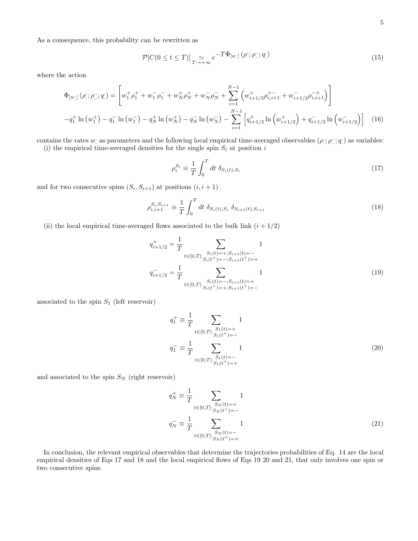As a consequence, this probability can be rewritten as

$$
\mathcal{P}[C(0 \le t \le T)]_{T \to +\infty} e^{-T\Phi_{[w]}}(\rho; \rho; \alpha; q)
$$
\n(15)

where the action

$$
\Phi_{[w\cdot]}(\rho;\rho;;\rho;q\cdot) = \left[w_1^+ \rho_1^+ + w_1^- \rho_1^- + w_N^+ \rho_N^+ + w_N^- \rho_N^- + \sum_{i=1}^{N-1} \left( w_{i+1/2}^+ \rho_{i,i+1}^+ + w_{i+1/2}^- \rho_{i,i+1}^- \right) \right]
$$
  
\n
$$
-q_1^+ \ln(w_1^+) - q_1^- \ln(w_1^-) - q_N^+ \ln(w_N^+) - q_N^- \ln(w_N^-) - \sum_{i=1}^{N-1} \left[ q_{i+1/2}^+ \ln(w_{i+1/2}^+) + q_{i+1/2}^- \ln(w_{i+1/2}^-) \right] \tag{16}
$$

contains the rates w: as parameters and the following local empirical time-averaged observables  $(\rho; \rho$ ;  $q$ ) as variables: (i) the empirical time-averaged densities for the single spin  $S_i$  at position i

$$
\rho_i^{S_i} \equiv \frac{1}{T} \int_0^T dt \ \delta_{S_i(t), S_i} \tag{17}
$$

and for two consecutive spins  $(S_i, S_{i+1})$  at positions  $(i, i+1)$ 

$$
\rho_{i,i+1}^{S_i, S_{i+1}} \equiv \frac{1}{T} \int_0^T dt \ \delta_{S_i(t), S_i} \ \delta_{S_{i+1}(t), S_{i+1}} \tag{18}
$$

(ii) the local empirical time-averaged flows associated to the bulk link  $(i + 1/2)$ 

$$
q_{i+1/2}^{+} = \frac{1}{T} \sum_{\substack{t \in [0,T]: \ S_i(t) = +; S_{i+1}(t) = - \\ S_i(t^+) = -; S_{i+1}(t^+) = +}} 1
$$
  

$$
q_{i+1/2}^{-} = \frac{1}{T} \sum_{\substack{t \in [0,T]: \ S_i(t) = -; S_{i+1}(t) = + \\ S_i(t^+) = +; S_{i+1}(t^+) = -}} 1
$$
 (19)

associated to the spin  $S_1$  (left reservoir)

$$
q_1^+ \equiv \frac{1}{T} \sum_{t \in [0,T]: \substack{S_1(t) = + \\ S_1(t^+) = -}} 1
$$
  

$$
q_1^- \equiv \frac{1}{T} \sum_{t \in [0,T]: \substack{S_1(t) = - \\ S_1(t^+) = +}} 1
$$
 (20)

and associated to the spin  $S_N$  (right reservoir)

$$
q_N^+ \equiv \frac{1}{T} \sum_{t \in [0,T]: \substack{S_N(t) = + \\ S_N(t^+) = -}} 1
$$
  

$$
q_N^- \equiv \frac{1}{T} \sum_{t \in [0,T]: \substack{S_N(t) = - \\ S_N(t^+) = +}} 1
$$
 (21)

In conclusion, the relevant empirical observables that determine the trajectories probabilities of Eq. 14 are the local empirical densities of Eqs 17 and 18 and the local empirical flows of Eqs 19 20 and 21, that only involves one spin or two consecutive spins.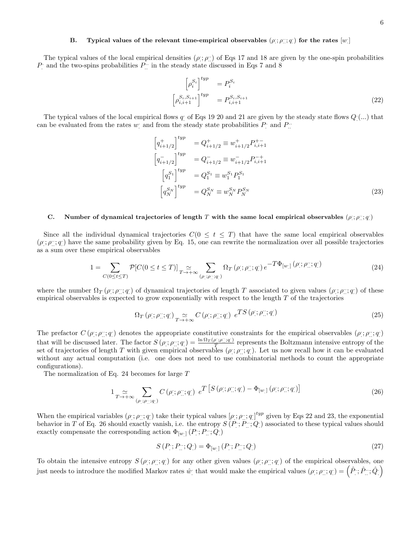# B. Typical values of the relevant time-empirical observables  $(\rho_j; \rho_k^{\ldots}; q_k)$  for the rates  $[w]$

The typical values of the local empirical densities  $(\rho; \rho)$  of Eqs 17 and 18 are given by the one-spin probabilities  $P$  and the two-spins probabilities  $P$  in the steady state discussed in Eqs 7 and 8

$$
\begin{bmatrix} \rho_i^{S_i} \end{bmatrix}^{typ} = P_i^{S_i}
$$
\n
$$
\begin{bmatrix} \rho_{i,i+1}^{S_i, S_{i+1}} \end{bmatrix}^{typ} = P_{i,i+1}^{S_i, S_{i+1}}
$$
\n(22)

The typical values of the local empirical flows  $q_1$  of Eqs 19 20 and 21 are given by the steady state flows  $Q_1(\ldots)$  that can be evaluated from the rates  $w$  and from the steady state probabilities  $P$  and  $P$ .

$$
\left[q_{i+1/2}^{+}\right]^{typ} = Q_{i+1/2}^{+} \equiv w_{i+1/2}^{+} P_{i,i+1}^{+-}
$$
\n
$$
\left[q_{i+1/2}^{-}\right]^{typ} = Q_{i+1/2}^{-} \equiv w_{i+1/2}^{-} P_{i,i+1}^{-+}
$$
\n
$$
\left[q_{1}^{S_{1}}\right]^{typ} = Q_{1}^{S_{1}} \equiv w_{1}^{S_{1}} P_{1}^{S_{1}}
$$
\n
$$
\left[q_{N}^{S_{N}}\right]^{typ} = Q_{N}^{S_{N}} \equiv w_{N}^{S_{N}} P_{N}^{S_{N}}
$$
\n(23)

# C. Number of dynamical trajectories of length T with the same local empirical observables  $(\rho; \rho^{\ldots}_{\ldots}, q)$

Since all the individual dynamical trajectories  $C(0 \leq t \leq T)$  that have the same local empirical observables  $(\rho$ ;  $\rho$ ; q) have the same probability given by Eq. 15, one can rewrite the normalization over all possible trajectories as a sum over these empirical observables

1 = X C(0≤t≤T) P[C(0 ≤ t ≤ T)] ' T→+∞ X (ρ. . ;ρ.. .. ;q . ) Ω<sup>T</sup> (ρ . . ; ρ .. .. ; q . . ) e −TΦ[w. . ] (ρ . . ; ρ .. .. ; q . . ) (24)

where the number  $\Omega_T(\rho;\rho_1;\rho_2)$  of dynamical trajectories of length T associated to given values  $(\rho;\rho_1;\rho_2)$  of these empirical observables is expected to grow exponentially with respect to the length  $T$  of the trajectories

$$
\Omega_T\left(\rho^{\cdot};\rho^{\cdot\cdot}_{\cdot};q^{\cdot}\right) \underset{T\to+\infty}{\simeq} C\left(\rho^{\cdot};\rho^{\cdot\cdot}_{\cdot};q^{\cdot}\right) e^{TS\left(\rho^{\cdot};\rho^{\cdot\cdot}_{\cdot};q^{\cdot}\right)}\tag{25}
$$

The prefactor  $C(\rho;\rho;\eta;q)$  denotes the appropriate constitutive constraints for the empirical observables  $(\rho;\rho;\eta;q)$ that will be discussed later. The factor  $S(\rho;\rho::q) = \frac{\ln \Omega_T(\rho;\rho::q)}{T}$  $\frac{p_{1}, p_{1}, q_{1}}{T}$  represents the Boltzmann intensive entropy of the set of trajectories of length T with given empirical observables  $(\rho; \rho; \gamma; q)$ . Let us now recall how it can be evaluated without any actual computation (i.e. one does not need to use combinatorial methods to count the appropriate configurations).

The normalization of Eq. 24 becomes for large T

$$
1 \sum_{T \to +\infty} \sum_{(\rho; \mathbf{i}, \rho; \mathbf{j} \in \mathbf{q}^* )} C(\rho; \mathbf{i}, \rho; \mathbf{j}, \mathbf{q}^*) \ e^T \left[ S(\rho; \mathbf{i}, \rho; \mathbf{j}, \mathbf{q}^*) - \Phi_{[w; \mathbf{j}}(\rho; \mathbf{i}, \rho; \mathbf{j}, \mathbf{q}^*) \right] \tag{26}
$$

When the empirical variables  $(\rho; \rho; \gamma; q)$  take their typical values  $[\rho; \rho; \gamma; q]^{typ}$  given by Eqs 22 and 23, the exponential behavior in T of Eq. 26 should exactly vanish, i.e. the entropy  $S(P^{\cdot}; P^{\cdot\cdot}; Q^{\cdot})$  associated to these typical values should exactly compensate the corresponding action  $\Phi_{[w_\cdot]} \left( P^{\cdot} ; P^{\cdot \cdot} ; Q_\cdot \right)$ 

$$
S(P'; P''; Q') = \Phi_{[w']} (P'; P''; Q')
$$
\n(27)

To obtain the intensive entropy  $S(\rho;\rho;\eta)$  for any other given values  $(\rho;\rho;\eta)$  of the empirical observables, one just needs to introduce the modified Markov rates  $\hat{w}$ : that would make the empirical values  $(\rho; \rho$ ;  $q$ ;  $q$  =  $(\hat{P}; \hat{P}$ ;;  $\hat{Q}$ ;  $)$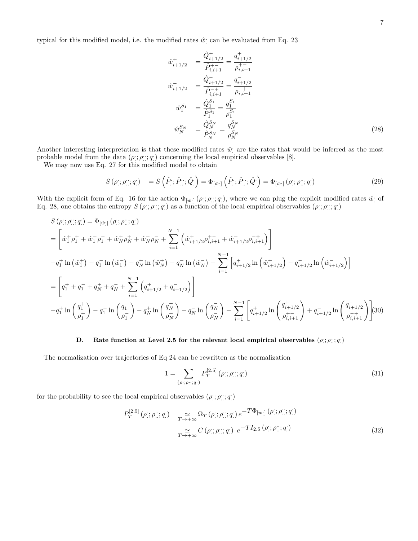typical for this modified model, i.e. the modified rates  $\hat{w}$  can be evaluated from Eq. 23

$$
\hat{w}_{i+1/2}^{+} = \frac{\hat{Q}_{i+1/2}^{+}}{\hat{P}_{i,i+1}^{+}} = \frac{q_{i+1/2}^{+}}{\rho_{i,i+1}^{+}} \n\hat{w}_{i+1/2}^{-} = \frac{\hat{Q}_{i+1/2}^{-}}{\hat{P}_{i,i+1}^{-}} = \frac{q_{i+1/2}^{-}}{\rho_{i,i+1}^{-+}} \n\hat{w}_{1}^{S_{1}} = \frac{\hat{Q}_{1}^{S_{1}}}{\hat{P}_{1}^{S_{1}}} = \frac{q_{1}^{S_{1}}}{\rho_{1}^{S_{1}}} \n\hat{w}_{N}^{S_{N}} = \frac{\hat{Q}_{N}^{S_{N}}}{\hat{P}_{N}^{S_{N}}} = \frac{q_{N}^{S_{N}}}{\hat{P}_{N}^{S_{N}}} \tag{28}
$$

Another interesting interpretation is that these modified rates  $\hat{w}$  are the rates that would be inferred as the most probable model from the data  $(\rho$ ;  $\rho$ ;; q;) concerning the local empirical observables [8].

We may now use Eq. 27 for this modified model to obtain

$$
S(\rho; \rho; \rho; \eta; q) = S(\hat{P}; \hat{P}; \hat{Q}) = \Phi_{[\hat{w}]}(\hat{P}; \hat{P}; \hat{Q}) = \Phi_{[\hat{w}]}(\rho; \rho; \eta; q) \tag{29}
$$

With the explicit form of Eq. 16 for the action  $\Phi_{\lbrack \hat{w}\rbrack}(\rho;\rho^{\cdot\cdot};q^{\cdot\cdot}),$  where we can plug the explicit modified rates  $\hat{w}$  of Eq. 28, one obtains the entropy  $S(p; p; q)$  as a function of the local empirical observables  $(p; p; q)$ 

$$
S(\rho;;\rho;;\boldsymbol{q};q) = \Phi_{[\hat{w}]}(\rho;\rho;;\boldsymbol{q};q)
$$
  
\n
$$
= \left[\hat{w}_{1}^{+}\rho_{1}^{+} + \hat{w}_{1}^{-}\rho_{1}^{-} + \hat{w}_{N}^{+}\rho_{N}^{+} + \hat{w}_{N}^{-}\rho_{N}^{-} + \sum_{i=1}^{N-1} \left(\hat{w}_{i+1/2}^{+}\rho_{i,i+1}^{+} + \hat{w}_{i+1/2}^{-}\rho_{i,i+1}^{-} \right)\right]
$$
  
\n
$$
-q_{1}^{+}\ln\left(\hat{w}_{1}^{+}\right) - q_{1}^{-}\ln\left(\hat{w}_{1}^{-}\right) - q_{N}^{+}\ln\left(\hat{w}_{N}^{+}\right) - q_{N}^{-}\ln\left(\hat{w}_{N}^{-}\right) - \sum_{i=1}^{N-1} \left[q_{i+1/2}^{+}\ln\left(\hat{w}_{i+1/2}^{+}\right) - q_{i+1/2}^{-}\ln\left(\hat{w}_{i+1/2}^{-}\right)\right]
$$
  
\n
$$
= \left[q_{1}^{+} + q_{1}^{-} + q_{N}^{+} + q_{N}^{-} + \sum_{i=1}^{N-1} \left(q_{i+1/2}^{+} + q_{i+1/2}^{-}\right)\right]
$$
  
\n
$$
-q_{1}^{+}\ln\left(\frac{q_{1}^{+}}{\rho_{1}^{+}}\right) - q_{1}^{-}\ln\left(\frac{q_{1}^{-}}{\rho_{1}^{-}}\right) - q_{N}^{+}\ln\left(\frac{q_{N}^{+}}{\rho_{N}^{+}}\right) - q_{N}^{-}\ln\left(\frac{q_{N}^{-}}{\rho_{N}^{-}}\right) - \sum_{i=1}^{N-1} \left[q_{i+1/2}^{+}\ln\left(\frac{q_{i+1/2}^{+}}{\rho_{i,i+1}^{+}}\right) + q_{i+1/2}^{-}\ln\left(\frac{q_{i+1/2}^{-}}{\rho_{i,i+1}^{-}}\right)\right]
$$
  
\n(30)

# D. Rate function at Level 2.5 for the relevant local empirical observables  $(\rho; \rho^{\ldots}, q)$

The normalization over trajectories of Eq 24 can be rewritten as the normalization

$$
1 = \sum_{(\rho; \{p\}; q\})} P_T^{[2.5]}(\rho; \rho; q))
$$
\n(31)

for the probability to see the local empirical observables  $(\rho$ ;  $\rho$ ;; q)

$$
P_T^{[2.5]}(\rho; \rho; \eta; q) \quad \underset{T \to +\infty}{\simeq} \Omega_T(\rho; \rho; \eta; q) e^{-T\Phi_{[w]}(\rho; \rho; \eta; q)}
$$
\n
$$
\underset{T \to +\infty}{\simeq} C(\rho; \rho; \eta; q) e^{-TI_{2.5}(\rho; \rho; \eta; q)}
$$
\n
$$
(32)
$$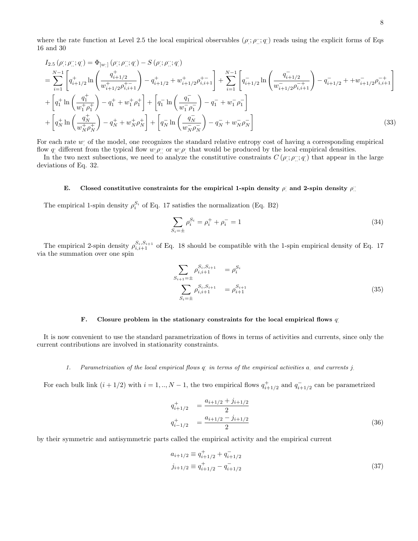where the rate function at Level 2.5 the local empirical observables  $(\rho; \rho; \ldots, q)$  reads using the explicit forms of Eqs 16 and 30

$$
I_{2.5}(\rho; \rho; \eta; q) = \Phi_{[w]}(\rho; \rho; q) - S(\rho; \rho; q)
$$
\n
$$
= \sum_{i=1}^{N-1} \left[ q_{i+1/2}^+ \ln \left( \frac{q_{i+1/2}^+}{w_{i+1/2}^+ \rho_{i,i+1}^+} \right) - q_{i+1/2}^+ + w_{i+1/2}^+ \rho_{i,i+1}^+ \right] + \sum_{i=1}^{N-1} \left[ q_{i+1/2}^- \ln \left( \frac{q_{i+1/2}^-}{w_{i+1/2}^- \rho_{i,i+1}^+} \right) - q_{i+1/2}^- + w_{i+1/2}^- \rho_{i,i+1}^- \right]
$$
\n
$$
+ \left[ q_1^+ \ln \left( \frac{q_1^+}{w_1^+ \rho_1^+} \right) - q_1^+ + w_1^+ \rho_1^+ \right] + \left[ q_1^- \ln \left( \frac{q_1^-}{w_1^- \rho_1^-} \right) - q_1^- + w_1^- \rho_1^- \right]
$$
\n
$$
+ \left[ q_N^+ \ln \left( \frac{q_N^+}{w_N^+ \rho_N^+} \right) - q_N^+ + w_N^+ \rho_N^+ \right] + \left[ q_N^- \ln \left( \frac{q_N^-}{w_N^- \rho_N^-} \right) - q_N^- + w_N^- \rho_N^- \right] \tag{33}
$$

For each rate  $w_1$  of the model, one recognizes the standard relative entropy cost of having a corresponding empirical flow q different from the typical flow  $w[\rho]$  or  $w[\rho]$  that would be produced by the local empirical densities.

In the two next subsections, we need to analyze the constitutive constraints  $C(\rho;\rho;\cdot;q)$  that appear in the large deviations of Eq. 32.

# E. Closed constitutive constraints for the empirical 1-spin density  $\rho$  and 2-spin density  $\rho$ .

The empirical 1-spin density  $\rho_i^{S_i}$  of Eq. 17 satisfies the normalization (Eq. B2)

$$
\sum_{S_i=\pm} \rho_i^{S_i} = \rho_i^+ + \rho_i^- = 1 \tag{34}
$$

The empirical 2-spin density  $\rho_{i,i+1}^{S_i,S_{i+1}}$  of Eq. 18 should be compatible with the 1-spin empirical density of Eq. 17 via the summation over one spin

$$
\sum_{S_{i+1}=\pm} \rho_{i,i+1}^{S_i, S_{i+1}} = \rho_i^{S_i}
$$
\n
$$
\sum_{S_i=\pm} \rho_{i,i+1}^{S_i, S_{i+1}} = \rho_{i+1}^{S_{i+1}}
$$
\n(35)

# F. Closure problem in the stationary constraints for the local empirical flows  $q$

It is now convenient to use the standard parametrization of flows in terms of activities and currents, since only the current contributions are involved in stationarity constraints.

# 1. Parametrization of the local empirical flows q in terms of the empirical activities a and currents j.

For each bulk link  $(i + 1/2)$  with  $i = 1, ..., N - 1$ , the two empirical flows  $q_{i+1/2}^+$  and  $q_{i+1/2}^-$  can be parametrized

$$
q_{i+1/2}^{+} = \frac{a_{i+1/2} + j_{i+1/2}}{2}
$$
  
\n
$$
q_{i-1/2}^{+} = \frac{a_{i+1/2} - j_{i+1/2}}{2}
$$
\n(36)

by their symmetric and antisymmetric parts called the empirical activity and the empirical current

$$
a_{i+1/2} \equiv q_{i+1/2}^+ + q_{i+1/2}^-
$$
  
\n
$$
j_{i+1/2} \equiv q_{i+1/2}^+ - q_{i+1/2}^-
$$
\n(37)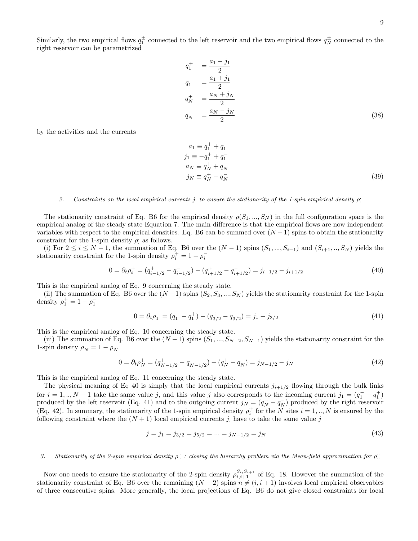Similarly, the two empirical flows  $q_1^{\pm}$  connected to the left reservoir and the two empirical flows  $q_N^{\pm}$  connected to the right reservoir can be parametrized

$$
q_1^+ = \frac{a_1 - j_1}{2}
$$
  
\n
$$
q_1^- = \frac{a_1 + j_1}{2}
$$
  
\n
$$
q_N^+ = \frac{a_N + j_N}{2}
$$
  
\n
$$
q_N^- = \frac{a_N - j_N}{2}
$$
\n(38)

by the activities and the currents

$$
a_1 \equiv q_1^+ + q_1^-
$$
  
\n
$$
j_1 \equiv -q_1^+ + q_1^-
$$
  
\n
$$
a_N \equiv q_N^+ + q_N^-
$$
  
\n
$$
j_N \equiv q_N^+ - q_N^-
$$
\n(39)

# 2. Constraints on the local empirical currents j to ensure the stationarity of the 1-spin empirical density  $\rho$

The stationarity constraint of Eq. B6 for the empirical density  $\rho(S_1, ..., S_N)$  in the full configuration space is the empirical analog of the steady state Equation 7. The main difference is that the empirical flows are now independent variables with respect to the empirical densities. Eq. B6 can be summed over  $(N-1)$  spins to obtain the stationarity constraint for the 1-spin density  $\rho$  as follows.

(i) For  $2 \le i \le N-1$ , the summation of Eq. B6 over the  $(N-1)$  spins  $(S_1, ..., S_{i-1})$  and  $(S_{i+1}, ..., S_N)$  yields the stationarity constraint for the 1-spin density  $\rho_i^+ = 1 - \rho_i^-$ 

$$
0 = \partial_t \rho_i^+ = (q_{i-1/2}^+ - q_{i-1/2}^-) - (q_{i+1/2}^+ - q_{i+1/2}^-) = j_{i-1/2} - j_{i+1/2}
$$
\n
$$
(40)
$$

This is the empirical analog of Eq. 9 concerning the steady state.

(ii) The summation of Eq. B6 over the  $(N-1)$  spins  $(S_2, S_3, ..., S_N)$  yields the stationarity constraint for the 1-spin density  $\rho_1^+ = 1 - \rho_1^-$ 

$$
0 = \partial_t \rho_1^+ = (q_1^- - q_1^+) - (q_{3/2}^+ - q_{3/2}^-) = j_1 - j_{3/2}
$$
\n
$$
(41)
$$

This is the empirical analog of Eq. 10 concerning the steady state.

(iii) The summation of Eq. B6 over the  $(N-1)$  spins  $(S_1, ..., S_{N-2}, S_{N-1})$  yields the stationarity constraint for the 1-spin density  $\rho_N^+ = 1 - \rho_N^-$ 

$$
0 = \partial_t \rho_N^+ = (q_{N-1/2}^+ - q_{N-1/2}^-) - (q_N^+ - q_N^-) = j_{N-1/2} - j_N \tag{42}
$$

This is the empirical analog of Eq. 11 concerning the steady state.

The physical meaning of Eq 40 is simply that the local empirical currents  $j_{i+1/2}$  flowing through the bulk links for  $i = 1, ..., N - 1$  take the same value j, and this value j also corresponds to the incoming current  $j_1 = (q_1^- - q_1^+)$ produced by the left reservoir (Eq. 41) and to the outgoing current  $j_N = (q_N^+ - q_N^-)$  produced by the right reservoir (Eq. 42). In summary, the stationarity of the 1-spin empirical density  $\rho_i^+$  for the N sites  $i = 1, ..., N$  is ensured by the following constraint where the  $(N + 1)$  local empirical currents j have to take the same value j

$$
j = j_1 = j_{3/2} = j_{5/2} = \dots = j_{N-1/2} = j_N \tag{43}
$$

# 3. Stationarity of the 2-spin empirical density  $\rho$ : closing the hierarchy problem via the Mean-field approximation for  $\rho$ :

Now one needs to ensure the stationarity of the 2-spin density  $\rho_{i,i+1}^{S_i,S_{i+1}}$  of Eq. 18. However the summation of the stationarity constraint of Eq. B6 over the remaining  $(N-2)$  spins  $n \neq (i, i + 1)$  involves local empirical observables of three consecutive spins. More generally, the local projections of Eq. B6 do not give closed constraints for local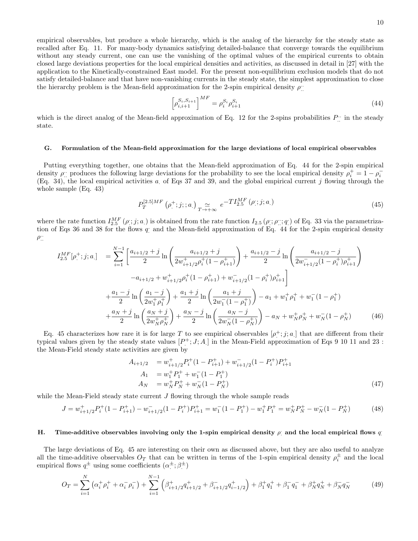empirical observables, but produce a whole hierarchy, which is the analog of the hierarchy for the steady state as recalled after Eq. 11. For many-body dynamics satisfying detailed-balance that converge towards the equilibrium without any steady current, one can use the vanishing of the optimal values of the empirical currents to obtain closed large deviations properties for the local empirical densities and activities, as discussed in detail in [27] with the application to the Kinetically-constrained East model. For the present non-equilibrium exclusion models that do not satisfy detailed-balance and that have non-vanishing currents in the steady state, the simplest approximation to close the hierarchy problem is the Mean-field approximation for the 2-spin empirical density  $\rho$ .

$$
\left[\rho_{i,i+1}^{S_i, S_{i+1}}\right]^{MF} = \rho_i^{S_i} \rho_{i+1}^{S_i}
$$
\n(44)

which is the direct analog of the Mean-field approximation of Eq. 12 for the 2-spins probabilities  $P_{\dots}$  in the steady state.

#### G. Formulation of the Mean-field approximation for the large deviations of local empirical observables

Putting everything together, one obtains that the Mean-field approximation of Eq. 44 for the 2-spin empirical density  $\rho$ : produces the following large deviations for the probability to see the local empirical density  $\rho_i^+ = 1 - \rho_i^-$ (Eq. 34), the local empirical activities  $a$  of Eqs 37 and 39, and the global empirical current j flowing through the whole sample (Eq. 43)

$$
P_T^{[2.5]MF}(\rho^+; j; ; a) \underset{T \to +\infty}{\simeq} e^{-T I_{2.5}^{MF}(\rho; ; j; a)} \tag{45}
$$

where the rate function  $I_{2.5}^{MF}(\rho;\dot{j};a)$  is obtained from the rate function  $I_{2.5}(\rho;\dot{\rho}^{\dots},q)$  of Eq. 33 via the parametrization of Eqs 36 and 38 for the flows  $q$  and the Mean-field approximation of Eq. 44 for the 2-spin empirical density  $\rho$ ::

$$
I_{2.5}^{MF}[\rho_{.}^{+};j;a] = \sum_{i=1}^{N-1} \left[ \frac{a_{i+1/2} + j}{2} \ln \left( \frac{a_{i+1/2} + j}{2w_{i+1/2}^{+} \rho_{i}^{+}(1 - \rho_{i+1}^{+})} \right) + \frac{a_{i+1/2} - j}{2} \ln \left( \frac{a_{i+1/2} - j}{2w_{i+1/2}^{-}(1 - \rho_{i}^{+})\rho_{i+1}^{+}} \right) \right]
$$

$$
-a_{i+1/2} + w_{i+1/2}^{+} \rho_{i}^{+}(1 - \rho_{i+1}^{+}) + w_{i+1/2}^{-}(1 - \rho_{i}^{+})\rho_{i+1}^{+}
$$

$$
+ \frac{a_{1} - j}{2} \ln \left( \frac{a_{1} - j}{2w_{1}^{+}\rho_{1}^{+}} \right) + \frac{a_{1} + j}{2} \ln \left( \frac{a_{1} + j}{2w_{1}^{-}(1 - \rho_{1}^{+})} \right) - a_{1} + w_{1}^{+}\rho_{1}^{+} + w_{1}^{-}(1 - \rho_{1}^{+})
$$

$$
+ \frac{a_{N} + j}{2} \ln \left( \frac{a_{N} + j}{2w_{N}^{+}\rho_{N}^{+}} \right) + \frac{a_{N} - j}{2} \ln \left( \frac{a_{N} - j}{2w_{N}^{-}(1 - \rho_{N}^{+})} \right) - a_{N} + w_{N}^{+}\rho_{N}^{+} + w_{N}^{-}(1 - \rho_{N}^{+}) \tag{46}
$$

Eq. 45 characterizes how rare it is for large T to see empirical observables  $[\rho^+; j; a]$  that are different from their typical values given by the steady state values  $[P^+; J; A]$  in the Mean-Field approximation of Eqs 9 10 11 and 23: the Mean-Field steady state activities are given by

$$
A_{i+1/2} = w_{i+1/2}^+ P_i^+ (1 - P_{i+1}^+) + w_{i+1/2}^- (1 - P_i^+) P_{i+1}^+
$$
  
\n
$$
A_1 = w_1^+ P_1^+ + w_1^- (1 - P_1^+)
$$
  
\n
$$
A_N = w_N^+ P_N^+ + w_N^- (1 - P_N^+) \tag{47}
$$

while the Mean-Field steady state current  $J$  flowing through the whole sample reads

$$
J = w_{i+1/2}^+ P_i^+ (1 - P_{i+1}^+) - w_{i+1/2}^- (1 - P_i^+) P_{i+1}^+ = w_1^- (1 - P_1^+) - w_1^+ P_1^+ = w_N^+ P_N^+ - w_N^- (1 - P_N^+) \tag{48}
$$

# H. Time-additive observables involving only the 1-spin empirical density  $\rho$  and the local empirical flows q.

The large deviations of Eq. 45 are interesting on their own as discussed above, but they are also useful to analyze all the time-additive observables  $O_T$  that can be written in terms of the 1-spin empirical density  $\rho_i^{\pm}$  and the local empirical flows  $q^{\pm}$  using some coefficients  $(\alpha^{\pm}; \beta^{\pm})$ 

$$
O_T = \sum_{i=1}^{N} \left( \alpha_i^+ \rho_i^+ + \alpha_i^- \rho_i^- \right) + \sum_{i=1}^{N-1} \left( \beta_{i+1/2}^+ q_{i+1/2}^+ + \beta_{i+1/2}^- q_{i-1/2}^+ \right) + \beta_1^+ q_1^+ + \beta_1^- q_1^- + \beta_N^+ q_N^+ + \beta_N^- q_N^- \tag{49}
$$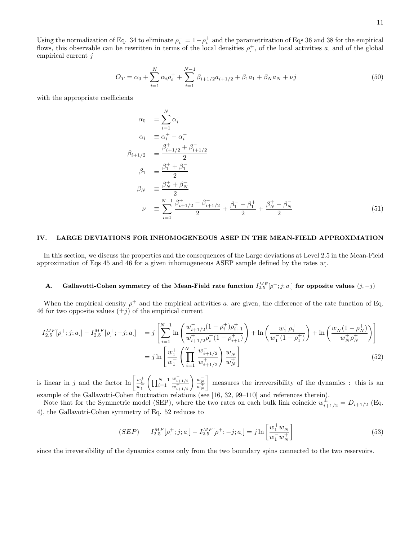Using the normalization of Eq. 34 to eliminate  $\rho_i^- = 1 - \rho_i^+$  and the parametrization of Eqs 36 and 38 for the empirical flows, this observable can be rewritten in terms of the local densities  $\rho^+$ , of the local activities a and of the global empirical current j

$$
O_T = \alpha_0 + \sum_{i=1}^{N} \alpha_i \rho_i^+ + \sum_{i=1}^{N-1} \beta_{i+1/2} a_{i+1/2} + \beta_1 a_1 + \beta_N a_N + \nu j
$$
\n(50)

with the appropriate coefficients

$$
\alpha_0 = \sum_{i=1}^{N} \alpha_i^-
$$
\n
$$
\alpha_i = \alpha_i^+ - \alpha_i^-
$$
\n
$$
\beta_{i+1/2} = \frac{\beta_{i+1/2}^+ + \beta_{i+1/2}^-}{2}
$$
\n
$$
\beta_1 = \frac{\beta_1^+ + \beta_1^-}{2}
$$
\n
$$
\beta_N = \frac{\beta_N^+ + \beta_N^-}{2}
$$
\n
$$
\nu = \sum_{i=1}^{N-1} \frac{\beta_{i+1/2}^+ - \beta_{i+1/2}^-}{2} + \frac{\beta_1^- - \beta_1^+}{2} + \frac{\beta_N^+ - \beta_N^-}{2} \tag{51}
$$

#### IV. LARGE DEVIATIONS FOR INHOMOGENEOUS ASEP IN THE MEAN-FIELD APPROXIMATION

In this section, we discuss the properties and the consequences of the Large deviations at Level 2.5 in the Mean-Field approximation of Eqs 45 and 46 for a given inhomogeneous ASEP sample defined by the rates  $w$ .

# A. Gallavotti-Cohen symmetry of the Mean-Field rate function  $I_{2.5}^{MF}[\rho^+;j;a_.]$  for opposite values  $(j,-j)$

When the empirical density  $\rho^+$  and the empirical activities a are given, the difference of the rate function of Eq. 46 for two opposite values  $(\pm j)$  of the empirical current

$$
I_{2.5}^{MF}[\rho_{\cdot}^{+};j;a_{\cdot}] - I_{2.5}^{MF}[\rho_{\cdot}^{+};-j;a_{\cdot}] = j \left[ \sum_{i=1}^{N-1} \ln \left( \frac{w_{i+1/2}^{-1}(1-\rho_{i}^{+})\rho_{i+1}^{+}}{w_{i+1/2}^{+}\rho_{i}^{+}(1-\rho_{i+1}^{+})} \right) + \ln \left( \frac{w_{1}^{+}\rho_{1}^{+}}{w_{1}^{-}(1-\rho_{1}^{+})} \right) \right]
$$
  

$$
= j \ln \left[ \frac{w_{1}^{+}}{w_{1}^{-}} \left( \prod_{i=1}^{N-1} \frac{w_{i+1/2}^{-1}}{w_{i+1/2}^{+}} \right) \frac{w_{N}^{-1}}{w_{N}^{+}} \right]
$$
(52)

is linear in j and the factor  $\ln \left[\frac{w_1^+}{w_1^-}\right] \left(\prod_{i=1}^{N-1} \right)$  $\frac{w_{i+1/2}^{-}}{w_{i+1/2}^{+}}$  $\begin{pmatrix} w_N^- \\ w_N^+ \end{pmatrix}$ measures the irreversibility of the dynamics : this is an example of the Gallavotti-Cohen fluctuation relations (see [16, 32, 99–110] and references therein).

Note that for the Symmetric model (SEP), where the two rates on each bulk link coincide  $w_{i+1/2}^{\pm} = D_{i+1/2}$  (Eq. 4), the Gallavotti-Cohen symmetry of Eq. 52 reduces to

$$
(SEP) \qquad I_{2.5}^{MF}[\rho^+; j; a] - I_{2.5}^{MF}[\rho^+; -j; a] = j \ln \left[ \frac{w_1^+ w_N^-}{w_1^- w_N^+} \right] \tag{53}
$$

since the irreversibility of the dynamics comes only from the two boundary spins connected to the two reservoirs.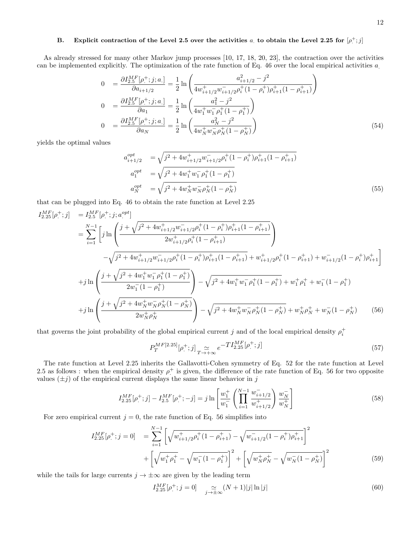# B. Explicit contraction of the Level 2.5 over the activities  $a_i$  to obtain the Level 2.25 for  $[\rho^+; j]$

As already stressed for many other Markov jump processes [10, 17, 18, 20, 23], the contraction over the activities can be implemented explicitly. The optimization of the rate function of Eq. 46 over the local empirical activities a.

$$
0 = \frac{\partial I_{2.5}^{MF}[\rho^+; j; a]}{\partial a_{i+1/2}} = \frac{1}{2} \ln \left( \frac{a_{i+1/2}^2 - j^2}{4w_{i+1/2}^+ w_{i+1/2}^- \rho_i^+ (1 - \rho_i^+) \rho_{i+1}^+ (1 - \rho_{i+1}^+)} \right)
$$
  
\n
$$
0 = \frac{\partial I_{2.5}^{MF}[\rho^+; j; a]}{\partial a_1} = \frac{1}{2} \ln \left( \frac{a_1^2 - j^2}{4w_1^+ w_1^- \rho_1^+ (1 - \rho_1^+)} \right)
$$
  
\n
$$
0 = \frac{\partial I_{2.5}^{MF}[\rho^+; j; a]}{\partial a_N} = \frac{1}{2} \ln \left( \frac{a_N^2 - j^2}{4w_N^+ w_N^- \rho_N^+ (1 - \rho_N^+)} \right)
$$
  
\n(54)

yields the optimal values

$$
a_{i+1/2}^{opt} = \sqrt{j^2 + 4w_{i+1/2}^+ w_{i+1/2}^- \rho_i^+(1 - \rho_i^+) \rho_{i+1}^+(1 - \rho_{i+1}^+)}
$$
  
\n
$$
a_1^{opt} = \sqrt{j^2 + 4w_1^+ w_1^- \rho_1^+(1 - \rho_1^+)}
$$
  
\n
$$
a_N^{opt} = \sqrt{j^2 + 4w_N^+ w_N^- \rho_N^+(1 - \rho_N^+)}
$$
  
\n(55)

that can be plugged into Eq. 46 to obtain the rate function at Level 2.25

$$
I_{2.25}^{MF}[\rho_{,}^{+};j] = I_{2.5}^{MF}[\rho_{,}^{+};j;a_{,}^{opt}]
$$
\n
$$
= \sum_{i=1}^{N-1} \left[ j \ln \left( \frac{j + \sqrt{j^{2} + 4w_{i+1/2}^{+}w_{i+1/2}^{-}p_{i}^{+}(1 - \rho_{i}^{+})\rho_{i+1}^{+}(1 - \rho_{i+1}^{+})}}{2w_{i+1/2}^{+}p_{i}^{+}(1 - \rho_{i+1}^{+})} \right) \right]
$$
\n
$$
- \sqrt{j^{2} + 4w_{i+1/2}^{+}w_{i+1/2}^{-}p_{i}^{+}(1 - \rho_{i}^{+})\rho_{i+1}^{+}(1 - \rho_{i+1}^{+})} + w_{i+1/2}^{+}p_{i}^{+}(1 - \rho_{i+1}^{+}) + w_{i+1/2}^{-}(1 - \rho_{i}^{+})\rho_{i+1}^{+} \right]
$$
\n
$$
+ j \ln \left( \frac{j + \sqrt{j^{2} + 4w_{1}^{+}w_{1}^{-}\rho_{1}^{+}(1 - \rho_{1}^{+})}}{2w_{1}^{-}(1 - \rho_{1}^{+})} \right) - \sqrt{j^{2} + 4w_{1}^{+}w_{1}^{-}\rho_{1}^{+}(1 - \rho_{1}^{+})} + w_{1}^{+}p_{1}^{+} + w_{1}^{-}(1 - \rho_{1}^{+})
$$
\n
$$
+ j \ln \left( \frac{j + \sqrt{j^{2} + 4w_{N}^{+}w_{N}^{-}\rho_{N}^{+}(1 - \rho_{N}^{+})}}{2w_{N}^{+}\rho_{N}^{+}} \right) - \sqrt{j^{2} + 4w_{N}^{+}w_{N}^{-}\rho_{N}^{+}(1 - \rho_{N}^{+})} + w_{N}^{+}\rho_{N}^{+} + w_{N}^{-}(1 - \rho_{N}^{+}) \qquad (56)
$$

that governs the joint probability of the global empirical current j and of the local empirical density  $\rho_i^+$ 

$$
P_T^{MF[2.25]}[\rho^+;j] \underset{T \to +\infty}{\simeq} e^{-TI_{2.25}^{MF}[\rho^+;j]} \tag{57}
$$

The rate function at Level 2.25 inherits the Gallavotti-Cohen symmetry of Eq. 52 for the rate function at Level 2.5 as follows : when the empirical density  $\rho^+$  is given, the difference of the rate function of Eq. 56 for two opposite values  $(\pm j)$  of the empirical current displays the same linear behavior in j

$$
I_{2.25}^{MF}[\rho^+; j] - I_{2.5}^{MF}[\rho^+; -j] = j \ln \left[ \frac{w_1^+}{w_1^-} \left( \prod_{i=1}^{N-1} \frac{w_{i+1/2}^-}{w_{i+1/2}^+} \right) \frac{w_N^-}{w_N^+} \right]
$$
(58)

For zero empirical current  $j = 0$ , the rate function of Eq. 56 simplifies into

$$
I_{2.25}^{MF}[\rho^+; j = 0] = \sum_{i=1}^{N-1} \left[ \sqrt{w_{i+1/2}^+ \rho_i^+ (1 - \rho_{i+1}^+)} - \sqrt{w_{i+1/2}^- (1 - \rho_i^+) \rho_{i+1}^+} \right]^2 + \left[ \sqrt{w_1^+ \rho_1^+} - \sqrt{w_1^- (1 - \rho_1^+)} \right]^2 + \left[ \sqrt{w_N^+ \rho_N^+} - \sqrt{w_N^- (1 - \rho_N^+)} \right]^2
$$
(59)

while the tails for large currents  $j \to \pm \infty$  are given by the leading term

I

$$
I_{2.25}^{MF}[\rho^+; j = 0] \quad \underset{j \to \pm \infty}{\simeq} (N+1)|j| \ln |j| \tag{60}
$$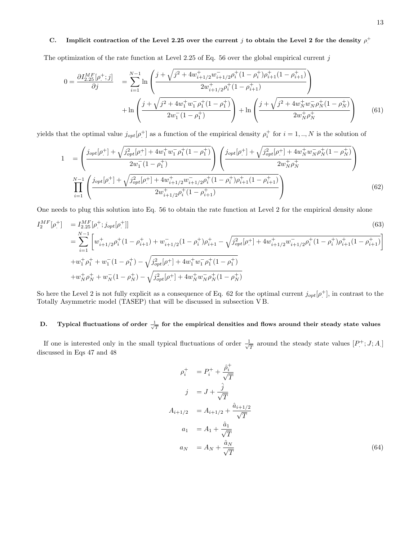# C. Implicit contraction of the Level 2.25 over the current j to obtain the Level 2 for the density  $\rho^+$

The optimization of the rate function at Level 2.25 of Eq. 56 over the global empirical current  $j$ 

$$
0 = \frac{\partial I_{2.25}^{MF}[\rho^+;j]}{\partial j} = \sum_{i=1}^{N-1} \ln \left( \frac{j + \sqrt{j^2 + 4w_{i+1/2}^+ w_{i+1/2}^- \rho_i^+ (1 - \rho_i^+) \rho_{i+1}^+ (1 - \rho_{i+1}^+)}{2w_{i+1/2}^+ \rho_i^+ (1 - \rho_{i+1}^+)} \right) + \ln \left( \frac{j + \sqrt{j^2 + 4w_1^+ w_1^- \rho_1^+ (1 - \rho_1^+)}{2w_1^- (1 - \rho_1^+)} \right) + \ln \left( \frac{j + \sqrt{j^2 + 4w_N^+ w_N^- \rho_N^+ (1 - \rho_N^+)}{2w_N^+ \rho_N^+}}{2w_N^+ \rho_N^+} \right) \tag{61}
$$

yields that the optimal value  $j_{opt}[\rho^+]$  as a function of the empirical density  $\rho^+_i$  for  $i=1,..,N$  is the solution of

$$
1 = \left(\frac{j_{opt}[\rho^+] + \sqrt{j_{opt}^2[\rho^+] + 4w_1^+w_1^- \rho_1^+(1-\rho_1^+)} }{2w_1^-(1-\rho_1^+)}\right) \left(\frac{j_{opt}[\rho^+] + \sqrt{j_{opt}^2[\rho^+] + 4w_N^+w_N^- \rho_N^+(1-\rho_N^+)} }{2w_N^+ \rho_N^+}\right)
$$
  

$$
\prod_{i=1}^{N-1} \left(\frac{j_{opt}[\rho^+] + \sqrt{j_{opt}^2[\rho^+] + 4w_{i+1/2}^+w_{i+1/2}^- \rho_i^+(1-\rho_i^+)\rho_{i+1}^+(1-\rho_{i+1}^+)} }{2w_{i+1/2}^+ \rho_i^+(1-\rho_{i+1}^+)}\right)
$$
(62)

One needs to plug this solution into Eq. 56 to obtain the rate function at Level 2 for the empirical density alone

$$
I_2^{MF}[\rho^+] = I_{2.25}^{MF}[\rho^+; j_{opt}[\rho^+]]
$$
\n(63)  
\n
$$
= \sum_{i=1}^{N-1} \left[ w_{i+1/2}^+ \rho_i^+ (1 - \rho_{i+1}^+) + w_{i+1/2}^- (1 - \rho_i^+) \rho_{i+1}^+ - \sqrt{j_{opt}^2 [\rho^+] + 4w_{i+1/2}^+ w_{i+1/2}^- \rho_i^+ (1 - \rho_i^+) \rho_{i+1}^+ (1 - \rho_{i+1}^+)} \right]
$$
\n
$$
+ w_1^+ \rho_1^+ + w_1^- (1 - \rho_1^+) - \sqrt{j_{opt}^2 [\rho^+] + 4w_1^+ w_1^- \rho_1^+ (1 - \rho_1^+)} \newline + w_N^+ \rho_N^+ + w_N^- (1 - \rho_N^+) - \sqrt{j_{opt}^2 [\rho^+] + 4w_N^+ w_N^- \rho_N^+ (1 - \rho_N^+)}
$$
\n(63)

So here the Level 2 is not fully explicit as a consequence of Eq. 62 for the optimal current  $j_{opt}[\rho^+]$ , in contrast to the Totally Asymmetric model (TASEP) that will be discussed in subsection V B.

# D. Typical fluctuations of order  $\frac{1}{\sqrt{T}}$  for the empirical densities and flows around their steady state values

If one is interested only in the small typical fluctuations of order  $\frac{1}{\sqrt{2}}$  $\frac{1}{T}$  around the steady state values  $[P^+; J; A]$ discussed in Eqs 47 and 48

$$
\rho_i^+ = P_i^+ + \frac{\hat{\rho}_i^+}{\sqrt{T}}
$$
  
\n
$$
j = J + \frac{\hat{j}}{\sqrt{T}}
$$
  
\n
$$
A_{i+1/2} = A_{i+1/2} + \frac{\hat{a}_{i+1/2}}{\sqrt{T}}
$$
  
\n
$$
a_1 = A_1 + \frac{\hat{a}_1}{\sqrt{T}}
$$
  
\n
$$
a_N = A_N + \frac{\hat{a}_N}{\sqrt{T}}
$$
  
\n(64)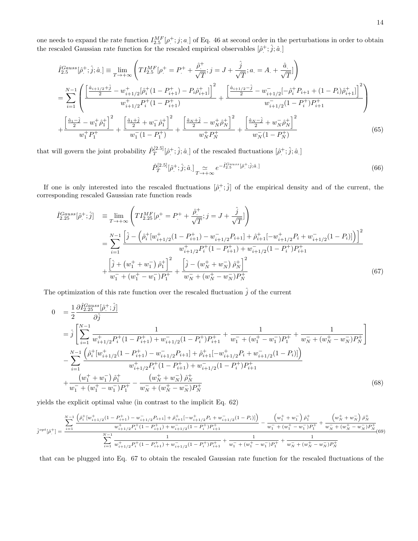one needs to expand the rate function  $I_{2.5}^{MF}[\rho^+; j; a]$  of Eq. 46 at second order in the perturbations in order to obtain the rescaled Gaussian rate function for the rescaled empirical observables  $[\hat{\rho}^{\pm}; \hat{j}; \hat{a}]$ 

$$
\hat{I}_{2.5}^{Gauss}[\hat{\rho}_{.}^{+};\hat{j};\hat{a}_{.}]\equiv\lim_{T\to+\infty}\left(TI_{2.5}^{MF}[\rho_{.}^{+}=P_{.}^{+}+\frac{\hat{\rho}_{.}^{+}}{\sqrt{T}};j=J+\frac{\hat{j}}{\sqrt{T}};a_{.}=A_{.}+\frac{\hat{a}_{.}}{\sqrt{T}}]\right)
$$
\n
$$
=\sum_{i=1}^{N-1}\left(\frac{\left[\frac{\hat{a}_{i+1/2}+\hat{j}}{2}-w_{i+1/2}^{+}[\hat{\rho}_{i}^{+}(1-P_{i+1}^{+})-P_{i}\hat{\rho}_{i+1}^{+}]\right]^{2}}{w_{i+1/2}^{+}P_{i}^{+}(1-P_{i+1}^{+})}+\frac{\left[\frac{\hat{a}_{i+1/2}-\hat{j}}{2}-w_{i+1/2}^{-}[-\hat{\rho}_{i}^{+}P_{i+1}+(1-P_{i})\hat{\rho}_{i+1}^{+}]\right]^{2}}{w_{i+1/2}^{-}(1-P_{i}^{+})P_{i+1}^{+}}\right)
$$
\n
$$
+\frac{\left[\frac{\hat{a}_{1}-\hat{j}}{2}-w_{1}^{+}\hat{\rho}_{1}^{+}\right]^{2}}{w_{1}^{+}P_{1}^{+}}+\frac{\left[\frac{\hat{a}_{1}+\hat{j}}{2}+w_{1}^{-}\hat{\rho}_{1}^{+}\right]^{2}}{w_{1}^{-}(1-P_{1}^{+})}+\frac{\left[\frac{\hat{a}_{N}+\hat{j}}{2}-w_{N}^{+}\hat{\rho}_{N}^{+}\right]^{2}}{w_{N}^{+}P_{N}^{+}}+\frac{\left[\frac{\hat{a}_{N}-\hat{j}}{2}+w_{N}^{-}\hat{\rho}_{N}^{+}\right]^{2}}{w_{N}^{-}(1-P_{N}^{+})}\right]
$$
\n(65)

that will govern the joint probability  $\hat{P}_T^{[2.5]}$  $T^{[2.5]}[\hat{\rho}^+;\hat{j};\hat{a}]$  of the rescaled fluctuations  $[\hat{\rho}^+;\hat{j};\hat{a}]$ 

$$
\hat{P}_T^{[2.5]}[\hat{\rho}^+;\hat{j};\hat{a}] \underset{T \to +\infty}{\simeq} e^{-\hat{I}_{2.5}^{Gauss}[\hat{\rho}^+;\hat{j};\hat{a}]} \tag{66}
$$

If one is only interested into the rescaled fluctuations  $[\hat{\rho}^+;\hat{j}]$  of the empirical density and of the current, the corresponding rescaled Gaussian rate function reads

$$
\hat{I}_{2.25}^{Gauss}[\hat{\rho}^{+};\hat{j}] = \lim_{T \to +\infty} \left( TI_{2.25}^{MF}[\rho^{+} = P^{+} + \frac{\hat{\rho}^{+}}{\sqrt{T}}; j = J + \frac{\hat{j}}{\sqrt{T}}] \right)
$$
\n
$$
= \sum_{i=1}^{N-1} \frac{\left[ \hat{j} - \left( \hat{\rho}_{i}^{+}[w_{i+1/2}^{+}(1 - P_{i+1}^{+}) - w_{i+1/2}^{-}P_{i+1}] + \hat{\rho}_{i+1}^{+}[-w_{i+1/2}^{+}P_{i} + w_{i+1/2}^{-}(1 - P_{i})] \right) \right]^{2}}{w_{i+1/2}^{+}P_{i}^{+}(1 - P_{i+1}^{+}) + w_{i+1/2}^{-}(1 - P_{i}^{+})P_{i+1}^{+}}
$$
\n
$$
+ \frac{\left[ \hat{j} + (w_{1}^{+} + w_{1}^{-})\hat{\rho}_{1}^{+} \right]^{2}}{w_{1}^{-} + (w_{1}^{+} - w_{1}^{-})P_{1}^{+}} + \frac{\left[ \hat{j} - (w_{N}^{+} + w_{N}^{-})\hat{\rho}_{N}^{+} \right]^{2}}{w_{N}^{-} + (w_{N}^{+} - w_{N}^{-})P_{N}^{+}}
$$
\n(67)

The optimization of this rate function over the rescaled fluctuation  $\hat{j}$  of the current

$$
0 = \frac{1}{2} \frac{\partial \hat{I}_{2.25}^{Gauss}[\hat{\rho}^{+};\hat{j}]}{\partial \hat{j}}
$$
  
\n
$$
= \hat{j} \left[ \sum_{i=1}^{N-1} \frac{1}{w_{i+1/2}^{+} P_{i}^{+} (1 - P_{i+1}^{+}) + w_{i+1/2}^{-} (1 - P_{i}^{+}) P_{i+1}^{+}} + \frac{1}{w_{1}^{-} + (w_{1}^{+} - w_{1}^{-}) P_{1}^{+}} + \frac{1}{w_{N}^{-} + (w_{N}^{+} - w_{N}^{-}) P_{N}^{+}} \right]
$$
  
\n
$$
- \sum_{i=1}^{N-1} \frac{\left(\hat{\rho}_{i}^{+} [w_{i+1/2}^{+} (1 - P_{i+1}^{+}) - w_{i+1/2}^{-} P_{i+1}] + \hat{\rho}_{i+1}^{+} [-w_{i+1/2}^{+} P_{i} + w_{i+1/2}^{-} (1 - P_{i})] \right)}{w_{i+1/2}^{+} P_{i}^{+} (1 - P_{i+1}^{+}) + w_{i+1/2}^{-} (1 - P_{i}^{+}) P_{i+1}^{+}}
$$
  
\n
$$
+ \frac{\left(w_{1}^{+} + w_{1}^{-}\right) \hat{\rho}_{1}^{+}}{w_{1}^{-} + (w_{1}^{+} - w_{1}^{-}) P_{1}^{+}} - \frac{\left(w_{N}^{+} + w_{N}^{-}\right) \hat{\rho}_{N}^{+}}{w_{N}^{-} + (w_{N}^{+} - w_{N}) P_{N}^{+}} \right)
$$
(68)

yields the explicit optimal value (in contrast to the implicit Eq. 62)

$$
\hat{j}^{opt}[\hat{\rho}_{\cdot}^{+}] = \frac{\sum_{i=1}^{N-1} \left( \hat{\rho}_{i}^{+}[w_{i+1/2}^{+}(1-P_{i+1}^{+})-w_{i+1/2}^{-}P_{i+1}] + \hat{\rho}_{i+1}^{+}[-w_{i+1/2}^{+}P_{i}+w_{i+1/2}^{-}(1-P_{i})] \right)}{w_{i+1/2}^{+}P_{i}^{+}(1-P_{i+1}^{+})+w_{i+1/2}^{-}(1-P_{i}^{+})P_{i+1}^{+}} - \frac{\left( w_{1}^{+}+w_{1}^{-} \right) \hat{\rho}_{1}^{+}}{w_{1}^{-}+(w_{1}^{+}-w_{1}^{-})P_{1}^{+}} + \frac{\left( w_{N}^{+}+w_{N}^{-} \right) \hat{\rho}_{N}^{+}}{w_{N}^{-}+(w_{N}^{+}-w_{N}^{-})P_{N}^{+}}}{\sum_{i=1}^{N-1} \frac{1}{w_{i+1/2}^{+}P_{i}^{+}(1-P_{i+1}^{+})+w_{i+1/2}^{-}(1-P_{i}^{+})P_{i+1}^{+}} + \frac{1}{w_{1}^{-}+(w_{1}^{+}-w_{1}^{-})P_{1}^{+}} + \frac{1}{w_{N}^{-}+(w_{N}^{+}-w_{N}^{-})P_{N}^{+}}} \tag{69}
$$

that can be plugged into Eq. 67 to obtain the rescaled Gaussian rate function for the rescaled fluctuations of the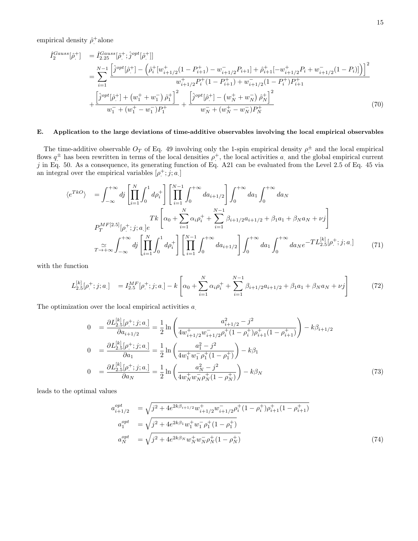empirical density  $\hat{\rho}^+$ alone

$$
\hat{I}_{2}^{Gauss}[\hat{\rho}_{.}^{+}] = \hat{I}_{2.25}^{Gauss}[\hat{\rho}_{.}^{+};\hat{j}^{opt}[\hat{\rho}_{.}^{+}]]
$$
\n
$$
= \sum_{i=1}^{N-1} \frac{\left[\hat{j}^{opt}[\hat{\rho}_{.}^{+}] - \left(\hat{\rho}_{i}^{+}[w_{i+1/2}^{+}(1-P_{i+1}^{+}) - w_{i+1/2}^{-}P_{i+1}] + \hat{\rho}_{i+1}^{+}[-w_{i+1/2}^{+}P_{i} + w_{i+1/2}^{-}(1-P_{i})]\right)\right]^{2}}{w_{i+1/2}^{+}P_{i}^{+}(1-P_{i+1}^{+}) + w_{i+1/2}^{-}(1-P_{i}^{+})P_{i+1}^{+}}
$$
\n
$$
+ \frac{\left[\hat{j}^{opt}[\hat{\rho}_{.}^{+}] + \left(w_{1}^{+} + w_{1}^{-}\right)\hat{\rho}_{1}^{+}\right]^{2}}{w_{1}^{-} + \left(w_{1}^{+} - w_{1}^{-}\right)P_{1}^{+}} + \frac{\left[\hat{j}^{opt}[\hat{\rho}_{.}^{+}] - \left(w_{N}^{+} + w_{N}^{-}\right)\hat{\rho}_{N}^{+}\right]^{2}}{w_{N}^{-} + \left(w_{N}^{+} - w_{N}^{-}\right)P_{N}^{+}} \tag{70}
$$

### E. Application to the large deviations of time-additive observables involving the local empirical observables

The time-additive observable  $O_T$  of Eq. 49 involving only the 1-spin empirical density  $\rho^{\pm}$  and the local empirical flows  $q^{\pm}$  has been rewritten in terms of the local densities  $\rho^+$ , the local activities a and the global empirical current j in Eq. 50. As a consequence, its generating function of Eq. A21 can be evaluated from the Level 2.5 of Eq. 45 via an integral over the empirical variables  $[\rho^+; j; a]$ 

$$
\langle e^{T k O} \rangle = \int_{-\infty}^{+\infty} d j \left[ \prod_{i=1}^{N} \int_{0}^{1} d \rho_{i}^{+} \right] \left[ \prod_{i=1}^{N-1} \int_{0}^{+\infty} d a_{i+1/2} \right] \int_{0}^{+\infty} d a_{1} \int_{0}^{+\infty} d a_{N}
$$
\n
$$
T k \left[ \alpha_{0} + \sum_{i=1}^{N} \alpha_{i} \rho_{i}^{+} + \sum_{i=1}^{N-1} \beta_{i+1/2} a_{i+1/2} + \beta_{1} a_{1} + \beta_{N} a_{N} + \nu j \right]
$$
\n
$$
T^{M F[2.5]}_{T \to +\infty} \int_{-\infty}^{+\infty} d j \left[ \prod_{i=1}^{N} \int_{0}^{1} d \rho_{i}^{+} \right] \left[ \prod_{i=1}^{N-1} \int_{0}^{+\infty} d a_{i+1/2} \right] \int_{0}^{+\infty} d a_{1} \int_{0}^{+\infty} d a_{N} e^{-T L_{2.5}^{[k]}[\rho_{i}^{+}; j; a]} \tag{71}
$$

with the function

$$
L_{2.5}^{[k]}[\rho^+;j;a] = I_{2.5}^{MF}[\rho^+;j;a] - k \left[ \alpha_0 + \sum_{i=1}^N \alpha_i \rho_i^+ + \sum_{i=1}^{N-1} \beta_{i+1/2} a_{i+1/2} + \beta_1 a_1 + \beta_N a_N + \nu j \right]
$$
(72)

The optimization over the local empirical activities  $a$ .

$$
0 = \frac{\partial L_{2.5}^{[k]}[\rho^+; j; a]}{\partial a_{i+1/2}} = \frac{1}{2} \ln \left( \frac{a_{i+1/2}^2 - j^2}{4w_{i+1/2}^+ w_{i+1/2}^- \rho_i^+ (1 - \rho_i^+) \rho_{i+1}^+ (1 - \rho_{i+1}^+)} \right) - k\beta_{i+1/2}
$$
  
\n
$$
0 = \frac{\partial L_{2.5}^{[k]}[\rho^+; j; a]}{\partial a_1} = \frac{1}{2} \ln \left( \frac{a_1^2 - j^2}{4w_1^+ w_1^- \rho_1^+ (1 - \rho_1^+)} \right) - k\beta_1
$$
  
\n
$$
0 = \frac{\partial L_{2.5}^{[k]}[\rho^+; j; a]}{\partial a_N} = \frac{1}{2} \ln \left( \frac{a_N^2 - j^2}{4w_N^+ w_N^- \rho_N^+ (1 - \rho_N^+)} \right) - k\beta_N
$$
  
\n(73)

leads to the optimal values

$$
a_{i+1/2}^{opt} = \sqrt{j^2 + 4e^{2k\beta_{i+1/2}}w_{i+1/2}^+w_{i+1/2}^- \rho_i^+(1-\rho_i^+) \rho_{i+1}^+(1-\rho_{i+1}^+)} a_1^{opt} = \sqrt{j^2 + 4e^{2k\beta_1}w_1^+w_1^- \rho_1^+(1-\rho_1^+)} a_N^{opt} = \sqrt{j^2 + 4e^{2k\beta_N}w_N^+w_N^- \rho_N^+(1-\rho_N^+)} \tag{74}
$$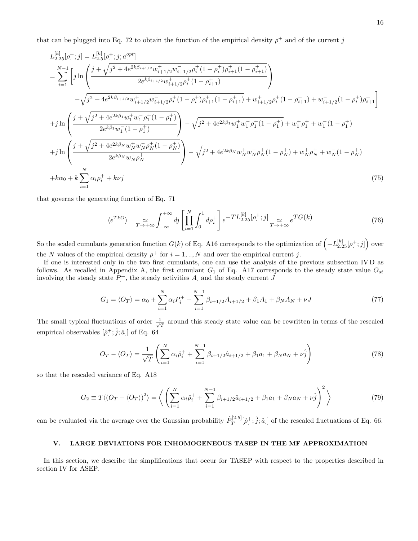that can be plugged into Eq. 72 to obtain the function of the empirical density  $\rho^+$  and of the current j

$$
L_{2.25}^{[k]}[\rho^+;j] = L_{2.5}^{[k]}[\rho^+;j; a^{opt}]
$$
\n
$$
= \sum_{i=1}^{N-1} \left[ j \ln \left( \frac{j + \sqrt{j^2 + 4e^{2k\beta_{i+1/2}} w^+_{i+1/2} w^-_{i+1/2} \rho^+_i (1 - \rho^+_i) \rho^+_{i+1} (1 - \rho^+_{i+1})}{2e^{k\beta_{i+1/2}} w^+_{i+1/2} \rho^+_i (1 - \rho^+_{i+1})} \right) \right]
$$
\n
$$
- \sqrt{j^2 + 4e^{2k\beta_{i+1/2}} w^+_{i+1/2} w^-_{i+1/2} \rho^+_i (1 - \rho^+_{i+1})} + w^+_{i+1/2} \rho^+_i (1 - \rho^+_{i+1}) + w^-_{i+1/2} (1 - \rho^+_{i}) \rho^+_{i+1} \right]
$$
\n
$$
+ j \ln \left( \frac{j + \sqrt{j^2 + 4e^{2k\beta_1} w^+_1 w^-_1 \rho^+_1 (1 - \rho^+_1)}}{2e^{k\beta_1} w^-_1 (1 - \rho^+_1)} \right) - \sqrt{j^2 + 4e^{2k\beta_1} w^+_1 w^-_1 \rho^+_1 (1 - \rho^+_{i})} + w^+_{1} \rho^+_{1} + w^-_{1} (1 - \rho^+_{1})
$$
\n
$$
+ j \ln \left( \frac{j + \sqrt{j^2 + 4e^{2k\beta_N} w^+_N w^-_N \rho^+_N (1 - \rho^+_N)}}{2e^{k\beta_N} w^+_N \rho^+_N} \right) - \sqrt{j^2 + 4e^{2k\beta_N} w^+_N w^-_N \rho^+_N (1 - \rho^+_{N})} + w^+_N \rho^+_N + w^-_N (1 - \rho^+_N)
$$
\n
$$
+ k\alpha_0 + k \sum_{i=1}^N \alpha_i \rho^+_i + k\nu j
$$
\n
$$
(75)
$$

that governs the generating function of Eq. 71

$$
\langle e^{TkO} \rangle \quad \simeq \int_{-\infty}^{+\infty} dj \left[ \prod_{i=1}^{N} \int_{0}^{1} d\rho_{i}^{+} \right] e^{-T L_{2.25}^{[k]}[\rho_{i}^{+};j]} \simeq e^{T G(k)} \tag{76}
$$

So the scaled cumulants generation function  $G(k)$  of Eq. A16 corresponds to the optimization of  $\left(-L_{2.25}^{[k]}[\rho^+;j]\right)$  over the N values of the empirical density  $\rho^+$  for  $i = 1, ..., N$  and over the empirical current j.

If one is interested only in the two first cumulants, one can use the analysis of the previous subsection IV D as follows. As recalled in Appendix A, the first cumulant  $G_1$  of Eq. A17 corresponds to the steady state value  $O_{st}$ involving the steady state  $P^+$ , the steady activities  $A$  and the steady current  $J$ 

$$
G_1 = \langle O_T \rangle = \alpha_0 + \sum_{i=1}^{N} \alpha_i P_i^+ + \sum_{i=1}^{N-1} \beta_{i+1/2} A_{i+1/2} + \beta_1 A_1 + \beta_N A_N + \nu J \tag{77}
$$

The small typical fluctuations of order  $\frac{1}{\sqrt{2}}$  $\frac{1}{T}$  around this steady state value can be rewritten in terms of the rescaled empirical observables  $[\hat{\rho}^+;\hat{j};\hat{a}]$  of Eq. 64

$$
O_T - \langle O_T \rangle = \frac{1}{\sqrt{T}} \left( \sum_{i=1}^N \alpha_i \hat{\rho}_i^+ + \sum_{i=1}^{N-1} \beta_{i+1/2} \hat{a}_{i+1/2} + \beta_1 a_1 + \beta_N a_N + \nu \hat{j} \right)
$$
(78)

so that the rescaled variance of Eq. A18

$$
G_2 \equiv T \langle (O_T - \langle O_T \rangle)^2 \rangle = \left\langle \left( \sum_{i=1}^N \alpha_i \hat{\rho}_i^+ + \sum_{i=1}^{N-1} \beta_{i+1/2} \hat{a}_{i+1/2} + \beta_1 a_1 + \beta_N a_N + \nu \hat{j} \right)^2 \right\rangle
$$
(79)

can be evaluated via the average over the Gaussian probability  $\hat{P}_T^{[2.5]}$  $T^{[2.5]}[\hat{\rho}^+;\hat{j};\hat{a}]$  of the rescaled fluctuations of Eq. 66.

#### V. LARGE DEVIATIONS FOR INHOMOGENEOUS TASEP IN THE MF APPROXIMATION

In this section, we describe the simplifications that occur for TASEP with respect to the properties described in section IV for ASEP.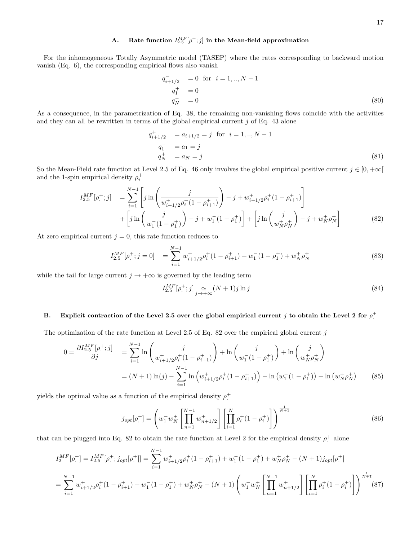# A. Rate function  $I_{2.5}^{MF}[\rho^+; j]$  in the Mean-field approximation

For the inhomogeneous Totally Asymmetric model (TASEP) where the rates corresponding to backward motion vanish (Eq. 6), the corresponding empirical flows also vanish

$$
q_{i+1/2}^{-} = 0 \text{ for } i = 1,.., N - 1
$$
  
\n
$$
q_1^{+} = 0
$$
  
\n
$$
q_N^{-} = 0
$$
\n(80)

As a consequence, in the parametrization of Eq. 38, the remaining non-vanishing flows coincide with the activities and they can all be rewritten in terms of the global empirical current  $j$  of Eq. 43 alone

$$
q_{i+1/2}^{+} = a_{i+1/2} = j \text{ for } i = 1,.., N-1
$$
  
\n
$$
q_1^{-} = a_1 = j
$$
  
\n
$$
q_N^{+} = a_N = j
$$
\n(81)

So the Mean-Field rate function at Level 2.5 of Eq. 46 only involves the global empirical positive current  $j \in [0, +\infty[$ and the 1-spin empirical density  $\rho_i^+$ 

$$
I_{2.5}^{MF}[\rho^+;j] = \sum_{i=1}^{N-1} \left[ j \ln \left( \frac{j}{w_{i+1/2}^+ \rho_i^+ (1 - \rho_{i+1}^+)} \right) - j + w_{i+1/2}^+ \rho_i^+ (1 - \rho_{i+1}^+) \right] + \left[ j \ln \left( \frac{j}{w_1^- (1 - \rho_1^+)} \right) - j + w_1^- (1 - \rho_1^+) \right] + \left[ j \ln \left( \frac{j}{w_N^+ \rho_N^+} \right) - j + w_N^+ \rho_N^+ \right] \tag{82}
$$

At zero empirical current  $j = 0$ , this rate function reduces to

$$
I_{2.5}^{MF}[\rho^+; j=0] = \sum_{i=1}^{N-1} w^+_{i+1/2} \rho^+_i (1 - \rho^+_{i+1}) + w^-_1 (1 - \rho^+_1) + w^+_N \rho^+_N \tag{83}
$$

while the tail for large current  $j \to +\infty$  is governed by the leading term

$$
I_{2.5}^{MF}[\rho^+; j] \underset{j \to +\infty}{\simeq} (N+1)j \ln j \tag{84}
$$

# B. Explicit contraction of the Level 2.5 over the global empirical current j to obtain the Level 2 for  $\rho^+$

The optimization of the rate function at Level 2.5 of Eq. 82 over the empirical global current  $j$ 

$$
0 = \frac{\partial I_{2.5}^{MF}[\rho^+; j]}{\partial j} = \sum_{i=1}^{N-1} \ln \left( \frac{j}{w_{i+1/2}^+ \rho_i^+ (1 - \rho_{i+1}^+)} \right) + \ln \left( \frac{j}{w_1^- (1 - \rho_1^+)} \right) + \ln \left( \frac{j}{w_N^+ \rho_N^+} \right)
$$
  
=  $(N+1) \ln(j) - \sum_{i=1}^{N-1} \ln \left( w_{i+1/2}^+ \rho_i^+ (1 - \rho_{i+1}^+) \right) - \ln \left( w_1^- (1 - \rho_1^+) \right) - \ln \left( w_N^+ \rho_N^+ \right)$  (85)

yields the optimal value as a function of the empirical density  $\rho^+$ 

$$
j_{opt}[\rho^+]=\left(w_1^-w_N^+\left[\prod_{n=1}^{N-1}w_{n+1/2}^+\right]\left[\prod_{i=1}^N\rho^+_i(1-\rho^+_i)\right]\right)^{\frac{1}{N+1}}
$$
(86)

that can be plugged into Eq. 82 to obtain the rate function at Level 2 for the empirical density  $\rho^+$  alone

$$
I_2^{MF}[\rho^+]=I_{2.5}^{MF}[\rho^+; j_{opt}[\rho^+]] = \sum_{i=1}^{N-1} w^+_{i+1/2} \rho^+_i (1 - \rho^+_{i+1}) + w^-_1 (1 - \rho^+_{1}) + w^+_{N} \rho^+_{N} - (N+1)j_{opt}[\rho^+]
$$
  
= 
$$
\sum_{i=1}^{N-1} w^+_{i+1/2} \rho^+_i (1 - \rho^+_{i+1}) + w^-_1 (1 - \rho^+_{1}) + w^+_{N} \rho^+_{N} - (N+1) \left( w^-_1 w^+_{N} \left[ \prod_{n=1}^{N-1} w^+_{n+1/2} \right] \left[ \prod_{i=1}^{N} \rho^+_i (1 - \rho^+_{i}) \right] \right)^{\frac{1}{N+1}} (87)
$$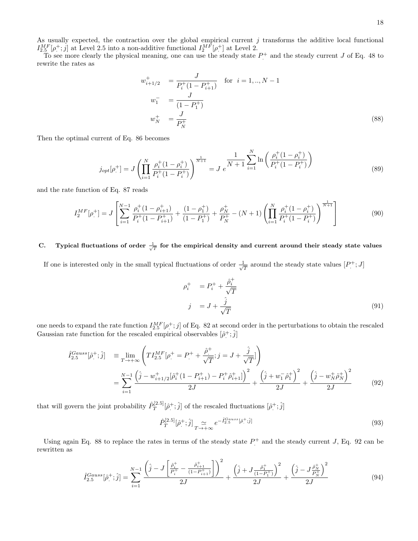As usually expected, the contraction over the global empirical current  $j$  transforms the additive local functional  $I_{2.5}^{MF}[\rho^+;j]$  at Level 2.5 into a non-additive functional  $I_2^{MF}[\rho^+]$  at Level 2.

To see more clearly the physical meaning, one can use the steady state  $P^+$  and the steady current J of Eq. 48 to rewrite the rates as

$$
w_{i+1/2}^{+} = \frac{J}{P_i^+(1 - P_{i+1}^+)} \quad \text{for } i = 1,.., N-1
$$
  
\n
$$
w_1^- = \frac{J}{(1 - P_1^+)}
$$
  
\n
$$
w_N^+ = \frac{J}{P_N^+}
$$
\n(88)

Then the optimal current of Eq. 86 becomes

$$
j_{opt}[\rho^+]=J\left(\prod_{i=1}^N \frac{\rho^+_i(1-\rho^+_i)}{P^+_i(1-P^+_i)}\right)^{\frac{1}{N+1}}=J e^{\frac{1}{N+1}\sum_{i=1}^N \ln\left(\frac{\rho^+_i(1-\rho^+_i)}{P^+_i(1-P^+_i)}\right)}
$$
(89)

and the rate function of Eq. 87 reads

$$
I_2^{MF}[\rho^+]=J\left[\sum_{i=1}^{N-1}\frac{\rho^+_i(1-\rho^+_{i+1})}{P^+_i(1-P^+_{i+1})}+\frac{(1-\rho^+_1)}{(1-P^+_1)}+\frac{\rho^+_N}{P^+_N}-(N+1)\left(\prod_{i=1}^N\frac{\rho^+_i(1-\rho^+_i)}{P^+_i(1-P^+_i)}\right)^{\frac{1}{N+1}}\right]
$$
(90)

# C. Typical fluctuations of order  $\frac{1}{\sqrt{T}}$  for the empirical density and current around their steady state values

If one is interested only in the small typical fluctuations of order  $\frac{1}{\sqrt{2}}$  $\frac{1}{T}$  around the steady state values  $[P^+; J]$ 

$$
\rho_i^+ = P_i^+ + \frac{\hat{\rho}_i^+}{\sqrt{T}}
$$
  

$$
j = J + \frac{\hat{j}}{\sqrt{T}}
$$
 (91)

one needs to expand the rate function  $I_{2.5}^{MF}[\rho^+;j]$  of Eq. 82 at second order in the perturbations to obtain the rescaled Gaussian rate function for the rescaled empirical observables  $[\hat{\rho}^+;\hat{j}]$ 

$$
\hat{I}_{2.5}^{Gauss}[\hat{\rho}_{.}^{+};\hat{j}] = \lim_{T \to +\infty} \left( TI_{2.5}^{MF}[\rho_{.}^{+} = P_{.}^{+} + \frac{\hat{\rho}_{.}^{+}}{\sqrt{T}}; j = J + \frac{\hat{j}}{\sqrt{T}}]\right)
$$
\n
$$
= \sum_{i=1}^{N-1} \frac{\left(\hat{j} - w_{i+1/2}^{+}[\hat{\rho}_{i}^{+}(1 - P_{i+1}^{+}) - P_{i}^{+}\hat{\rho}_{i+1}^{+}]\right)^{2}}{2J} + \frac{\left(\hat{j} + w_{1}^{-}\hat{\rho}_{1}^{+}\right)^{2}}{2J} + \frac{\left(\hat{j} - w_{N}^{+}\hat{\rho}_{N}^{+}\right)^{2}}{2J} \tag{92}
$$

that will govern the joint probability  $\hat{P}_T^{[2.5]}$  $[\hat{\rho}^{\pm}, \hat{j}]$  of the rescaled fluctuations  $[\hat{\rho}^{\pm}, \hat{j}]$ 

$$
\hat{P}_T^{[2.5]}[\hat{\rho}^+;\hat{j}]_{T\to+\infty} e^{-\hat{I}_{2.5}^{Gauss}[\hat{\rho}^+;\hat{j}]}\tag{93}
$$

Using again Eq. 88 to replace the rates in terms of the steady state  $P^+$  and the steady current J, Eq. 92 can be rewritten as

$$
\hat{I}_{2.5}^{Gauss}[\hat{\rho}^{+};\hat{j}] = \sum_{i=1}^{N-1} \frac{\left(\hat{j} - J\left[\frac{\hat{\rho}_{i}^{+}}{P_{i}^{+}} - \frac{\hat{\rho}_{i+1}^{+}}{(1 - P_{i+1}^{+})}\right]\right)^{2}}{2J} + \frac{\left(\hat{j} + J\frac{\hat{\rho}_{1}^{+}}{(1 - P_{1}^{+})}\right)^{2}}{2J} + \frac{\left(\hat{j} - J\frac{\hat{\rho}_{N}^{+}}{P_{N}^{+}}\right)^{2}}{2J}
$$
(94)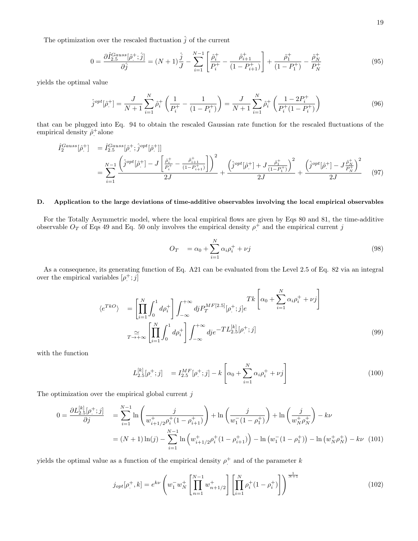The optimization over the rescaled fluctuation  $\hat{j}$  of the current

$$
0 = \frac{\partial \hat{I}_{2.5}^{Gauss}[\hat{\rho}^+; \hat{j}]}{\partial \hat{j}} = (N+1)\frac{\hat{j}}{J} - \sum_{i=1}^{N-1} \left[ \frac{\hat{\rho}_i^+}{P_i^+} - \frac{\hat{\rho}_{i+1}^+}{(1 - P_{i+1}^+)} \right] + \frac{\hat{\rho}_1^+}{(1 - P_1^+)} - \frac{\hat{\rho}_N^+}{P_N^+}
$$
(95)

yields the optimal value

$$
\hat{j}^{opt}[\hat{\rho}^+]=\frac{J}{N+1}\sum_{i=1}^N\hat{\rho}^+_i\left(\frac{1}{P^+_i}-\frac{1}{(1-P^+_i)}\right)=\frac{J}{N+1}\sum_{i=1}^N\hat{\rho}^+_i\left(\frac{1-2P^+_i}{P^+_i(1-P^+_i)}\right)
$$
(96)

that can be plugged into Eq. 94 to obtain the rescaled Gaussian rate function for the rescaled fluctuations of the empirical density  $\hat{\rho}^+$ alone

$$
\hat{I}_{2}^{Gauss}[\hat{\rho}_{.}^{+}] = \hat{I}_{2.5}^{Gauss}[\hat{\rho}_{.}^{+};\hat{j}^{opt}[\hat{\rho}_{.}^{+}]] \n= \sum_{i=1}^{N-1} \frac{\left(\hat{j}^{opt}[\hat{\rho}_{.}^{+}] - J\left[\frac{\hat{\rho}_{i}^{+}}{P_{i}^{+}} - \frac{\hat{\rho}_{i+1}^{+}}{(1-P_{i+1}^{+})}\right]\right)^{2}}{2J} + \frac{\left(\hat{j}^{opt}[\hat{\rho}_{.}^{+}] + J\frac{\hat{\rho}_{1}^{+}}{(1-P_{1}^{+})}\right)^{2}}{2J} + \frac{\left(\hat{j}^{opt}[\hat{\rho}_{.}^{+}] - J\frac{\hat{\rho}_{N}^{+}}{P_{N}^{+}}\right)^{2}}{2J}
$$
\n(97)

#### D. Application to the large deviations of time-additive observables involving the local empirical observables

For the Totally Asymmetric model, where the local empirical flows are given by Eqs 80 and 81, the time-additive observable  $O_T$  of Eqs 49 and Eq. 50 only involves the empirical density  $\rho^+$  and the empirical current j

$$
O_T = \alpha_0 + \sum_{i=1}^{N} \alpha_i \rho_i^+ + \nu j \tag{98}
$$

As a consequence, its generating function of Eq. A21 can be evaluated from the Level 2.5 of Eq. 82 via an integral over the empirical variables  $[\rho^+; j]$ 

$$
\langle e^{T k O} \rangle = \left[ \prod_{i=1}^{N} \int_{0}^{1} d \rho_{i}^{+} \right] \int_{-\infty}^{+\infty} d j P_{T}^{M F[2.5]} [\rho_{\cdot}^{+}; j] e^{-K \left[ \alpha_{0} + \sum_{i=1}^{N} \alpha_{i} \rho_{i}^{+} + \nu_{j} \right]}
$$

$$
T_{-\to +\infty}^{\sim} \left[ \prod_{i=1}^{N} \int_{0}^{1} d \rho_{i}^{+} \right] \int_{-\infty}^{+\infty} d j e^{-T L_{2.5}^{[k]} [\rho_{\cdot}^{+}; j]} \tag{99}
$$

with the function

$$
L_{2.5}^{[k]}[\rho^+;j] = I_{2.5}^{MF}[\rho^+;j] - k \left[ \alpha_0 + \sum_{i=1}^N \alpha_i \rho_i^+ + \nu j \right]
$$
 (100)

The optimization over the empirical global current  $j$ 

$$
0 = \frac{\partial L_{2.5}^{[k]}[\rho^+; j]}{\partial j} = \sum_{i=1}^{N-1} \ln \left( \frac{j}{w_{i+1/2}^+ \rho_i^+ (1 - \rho_{i+1}^+)} \right) + \ln \left( \frac{j}{w_1^- (1 - \rho_1^+)} \right) + \ln \left( \frac{j}{w_N^+ \rho_N^+} \right) - k\nu
$$
  
=  $(N+1) \ln(j) - \sum_{i=1}^{N-1} \ln \left( w_{i+1/2}^+ \rho_i^+ (1 - \rho_{i+1}^+) \right) - \ln \left( w_1^- (1 - \rho_1^+) \right) - \ln \left( w_N^+ \rho_N^+ \right) - k\nu$  (101)

yields the optimal value as a function of the empirical density  $\rho^+$  and of the parameter k

$$
j_{opt}[\rho^+,k] = e^{k\nu} \left( w_1^- w_N^+ \left[ \prod_{n=1}^{N-1} w_{n+1/2}^+ \right] \left[ \prod_{i=1}^N \rho_i^+ (1 - \rho_i^+) \right] \right)^{\frac{1}{N+1}} \tag{102}
$$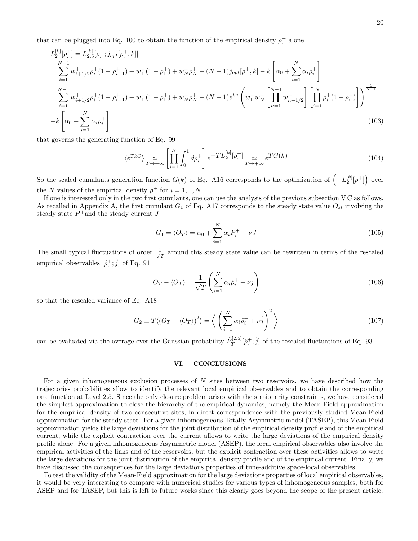that can be plugged into Eq. 100 to obtain the function of the empirical density  $\rho^+$  alone

$$
L_{2}^{[k]}[\rho_{.}^{+}] = L_{2.5}^{[k]}[\rho_{.}^{+}; j_{opt}[\rho_{.}^{+}, k]]
$$
  
\n
$$
= \sum_{i=1}^{N-1} w_{i+1/2}^{+} \rho_{i}^{+} (1 - \rho_{i+1}^{+}) + w_{1}^{-} (1 - \rho_{1}^{+}) + w_{N}^{+} \rho_{N}^{+} - (N+1)j_{opt}[\rho_{.}^{+}, k] - k \left[ \alpha_{0} + \sum_{i=1}^{N} \alpha_{i} \rho_{i}^{+} \right]
$$
  
\n
$$
= \sum_{i=1}^{N-1} w_{i+1/2}^{+} \rho_{i}^{+} (1 - \rho_{i+1}^{+}) + w_{1}^{-} (1 - \rho_{1}^{+}) + w_{N}^{+} \rho_{N}^{+} - (N+1) e^{k\nu} \left( w_{1}^{-} w_{N}^{+} \left[ \prod_{n=1}^{N-1} w_{n+1/2}^{+} \right] \left[ \prod_{i=1}^{N} \rho_{i}^{+} (1 - \rho_{i}^{+}) \right] \right)^{\frac{1}{N+1}}
$$
  
\n
$$
-k \left[ \alpha_{0} + \sum_{i=1}^{N} \alpha_{i} \rho_{i}^{+} \right]
$$
  
\n(103)

that governs the generating function of Eq. 99

$$
\langle e^{T k O} \rangle \underset{T \to +\infty}{\simeq} \left[ \prod_{i=1}^{N} \int_{0}^{1} d\rho_{i}^{+} \right] e^{-T L_{2}^{[k]}[\rho_{\cdot}^{+}]} \underset{T \to +\infty}{\simeq} e^{T G(k)} \tag{104}
$$

So the scaled cumulants generation function  $G(k)$  of Eq. A16 corresponds to the optimization of  $\left(-L_2^{[k]}[\rho^+]\right)$  over the N values of the empirical density  $\rho^+$  for  $i = 1, ..., N$ .

If one is interested only in the two first cumulants, one can use the analysis of the previous subsection V C as follows. As recalled in Appendix A, the first cumulant  $G_1$  of Eq. A17 corresponds to the steady state value  $O_{st}$  involving the steady state  $P^+$  and the steady current J

$$
G_1 = \langle O_T \rangle = \alpha_0 + \sum_{i=1}^{N} \alpha_i P_i^+ + \nu J \tag{105}
$$

The small typical fluctuations of order  $\frac{1}{\sqrt{2}}$  $\frac{1}{T}$  around this steady state value can be rewritten in terms of the rescaled empirical observables  $[\hat{\rho}^+,\hat{j}]$  of Eq. 91

$$
O_T - \langle O_T \rangle = \frac{1}{\sqrt{T}} \left( \sum_{i=1}^N \alpha_i \hat{\rho}_i^+ + \nu \hat{j} \right)
$$
 (106)

so that the rescaled variance of Eq. A18

$$
G_2 \equiv T \langle (O_T - \langle O_T \rangle)^2 \rangle = \left\langle \left( \sum_{i=1}^N \alpha_i \hat{\rho}_i^+ + \nu \hat{j} \right)^2 \right\rangle \tag{107}
$$

can be evaluated via the average over the Gaussian probability  $\hat{P}_T^{[2.5]}$  $T^{[2.5]}[\hat{\rho}^+;\hat{j}]$  of the rescaled fluctuations of Eq. 93.

#### VI. CONCLUSIONS

For a given inhomogeneous exclusion processes of  $N$  sites between two reservoirs, we have described how the trajectories probabilities allow to identify the relevant local empirical observables and to obtain the corresponding rate function at Level 2.5. Since the only closure problem arises with the stationarity constraints, we have considered the simplest approximation to close the hierarchy of the empirical dynamics, namely the Mean-Field approximation for the empirical density of two consecutive sites, in direct correspondence with the previously studied Mean-Field approximation for the steady state. For a given inhomogeneous Totally Asymmetric model (TASEP), this Mean-Field approximation yields the large deviations for the joint distribution of the empirical density profile and of the empirical current, while the explicit contraction over the current allows to write the large deviations of the empirical density profile alone. For a given inhomogeneous Asymmetric model (ASEP), the local empirical observables also involve the empirical activities of the links and of the reservoirs, but the explicit contraction over these activities allows to write the large deviations for the joint distribution of the empirical density profile and of the empirical current. Finally, we have discussed the consequences for the large deviations properties of time-additive space-local observables.

To test the validity of the Mean-Field approximation for the large deviations properties of local empirical observables, it would be very interesting to compare with numerical studies for various types of inhomogeneous samples, both for ASEP and for TASEP, but this is left to future works since this clearly goes beyond the scope of the present article.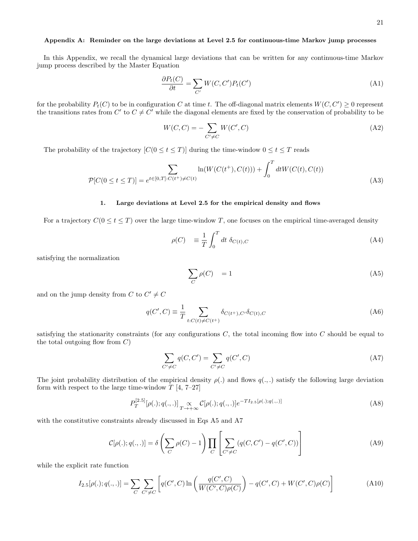### Appendix A: Reminder on the large deviations at Level 2.5 for continuous-time Markov jump processes

In this Appendix, we recall the dynamical large deviations that can be written for any continuous-time Markov jump process described by the Master Equation

$$
\frac{\partial P_t(C)}{\partial t} = \sum_{C'} W(C, C') P_t(C') \tag{A1}
$$

for the probability  $P_t(C)$  to be in configuration C at time t. The off-diagonal matrix elements  $W(C, C') \geq 0$  represent the transitions rates from C' to  $C \neq C'$  while the diagonal elements are fixed by the conservation of probability to be

$$
W(C,C) = -\sum_{C' \neq C} W(C',C)
$$
\n(A2)

The probability of the trajectory  $[C(0 \le t \le T)]$  during the time-window  $0 \le t \le T$  reads

$$
\sum_{\mathcal{P}[C(0 \le t \le T)]} \sum_{e^{t \in [0,T]: C(t^+) \neq C(t)}} \ln(W(C(t^+), C(t))) + \int_0^T dt W(C(t), C(t))
$$
\n(A3)

#### 1. Large deviations at Level 2.5 for the empirical density and flows

For a trajectory  $C(0 \le t \le T)$  over the large time-window T, one focuses on the empirical time-averaged density

$$
\rho(C) \equiv \frac{1}{T} \int_0^T dt \ \delta_{C(t),C} \tag{A4}
$$

satisfying the normalization

$$
\sum_{C} \rho(C) = 1 \tag{A5}
$$

and on the jump density from C to  $C' \neq C$ 

$$
q(C',C) \equiv \frac{1}{T} \sum_{t:C(t)\neq C(t^+)} \delta_{C(t^+),C'} \delta_{C(t),C}
$$
\n(A6)

satisfying the stationarity constraints (for any configurations  $C$ , the total incoming flow into  $C$  should be equal to the total outgoing flow from  $C$ )

$$
\sum_{C' \neq C} q(C, C') = \sum_{C' \neq C} q(C', C)
$$
\n(A7)

The joint probability distribution of the empirical density  $\rho(.)$  and flows  $q(.)$  satisfy the following large deviation form with respect to the large time-window  $T$  [4, 7–27]

$$
P_T^{[2.5]}[\rho(.);q(.,.)] \underset{T \to +\infty}{\propto} \mathcal{C}[\rho(.);q(.,.)] e^{-T I_{2.5}[\rho(.);q(.,.)]}
$$
(A8)

with the constitutive constraints already discussed in Eqs A5 and A7

$$
C[\rho(.); q(.,.)] = \delta\left(\sum_C \rho(C) - 1\right) \prod_C \left[\sum_{C' \neq C} (q(C, C') - q(C', C))\right]
$$
 (A9)

while the explicit rate function

$$
I_{2.5}[\rho(.); q(.,.)] = \sum_{C} \sum_{C' \neq C} \left[ q(C', C) \ln \left( \frac{q(C', C)}{W(C', C)\rho(C)} \right) - q(C', C) + W(C', C)\rho(C) \right]
$$
(A10)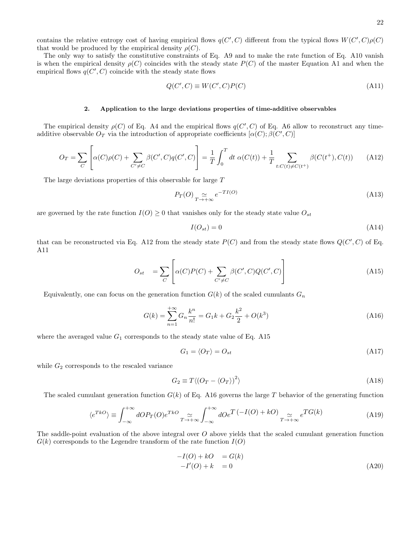contains the relative entropy cost of having empirical flows  $q(C', C)$  different from the typical flows  $W(C', C)\rho(C)$ that would be produced by the empirical density  $\rho(C)$ .

The only way to satisfy the constitutive constraints of Eq. A9 and to make the rate function of Eq. A10 vanish is when the empirical density  $\rho(C)$  coincides with the steady state  $P(C)$  of the master Equation A1 and when the empirical flows  $q(C', C)$  coincide with the steady state flows

$$
Q(C', C) \equiv W(C', C)P(C)
$$
\n<sup>(A11)</sup>

### 2. Application to the large deviations properties of time-additive observables

The empirical density  $\rho(C)$  of Eq. A4 and the empirical flows  $q(C', C)$  of Eq. A6 allow to reconstruct any timeadditive observable  $O_T$  via the introduction of appropriate coefficients  $[\alpha(C);\beta(C',C)]$ 

$$
O_T = \sum_C \left[ \alpha(C)\rho(C) + \sum_{C' \neq C} \beta(C', C)q(C', C) \right] = \frac{1}{T} \int_0^T dt \ \alpha(C(t)) + \frac{1}{T} \sum_{t:C(t) \neq C(t^+)} \beta(C(t^+), C(t)) \tag{A12}
$$

The large deviations properties of this observable for large T

 $\overline{a}$ 

$$
P_T(O) \underset{T \to +\infty}{\simeq} e^{-TI(O)} \tag{A13}
$$

are governed by the rate function  $I(O) \geq 0$  that vanishes only for the steady state value  $O_{st}$ 

$$
I(O_{st}) = 0 \tag{A14}
$$

that can be reconstructed via Eq. A12 from the steady state  $P(C)$  and from the steady state flows  $Q(C', C)$  of Eq. A11

$$
O_{st} = \sum_{C} \left[ \alpha(C)P(C) + \sum_{C' \neq C} \beta(C', C)Q(C', C) \right]
$$
\n(A15)

Equivalently, one can focus on the generation function  $G(k)$  of the scaled cumulants  $G_n$ 

$$
G(k) = \sum_{n=1}^{+\infty} G_n \frac{k^n}{n!} = G_1 k + G_2 \frac{k^2}{2} + O(k^3)
$$
\n(A16)

where the averaged value  $G_1$  corresponds to the steady state value of Eq. A15

$$
G_1 = \langle O_T \rangle = O_{st} \tag{A17}
$$

while  $G_2$  corresponds to the rescaled variance

$$
G_2 \equiv T \langle (O_T - \langle O_T \rangle)^2 \rangle \tag{A18}
$$

The scaled cumulant generation function  $G(k)$  of Eq. A16 governs the large T behavior of the generating function

$$
\langle e^{T k O} \rangle \equiv \int_{-\infty}^{+\infty} dO P_T(O) e^{T k O} \underset{T \to +\infty}{\simeq} \int_{-\infty}^{+\infty} dO e^{T} \left( -I(O) + k O \right) \underset{T \to +\infty}{\simeq} e^{T G(k)} \tag{A19}
$$

The saddle-point evaluation of the above integral over  $O$  above yields that the scaled cumulant generation function  $G(k)$  corresponds to the Legendre transform of the rate function  $I(O)$ 

$$
-I(O) + kO = G(k)
$$
  

$$
-I'(O) + k = 0
$$
 (A20)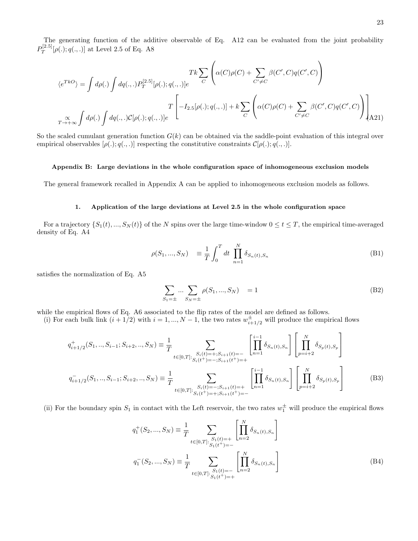The generating function of the additive observable of Eq. A12 can be evaluated from the joint probability  $P_T^{\left[ 2.5\right] }$  $T^{[2.3]}[\rho(.); q(.,.)]$  at Level 2.5 of Eq. A8

$$
\langle e^{TkO} \rangle = \int d\rho(.) \int dq(.,.) P_T^{[2.5]}[\rho(.); q(.,.)]e
$$
  

$$
T \left[ -I_{2.5}[\rho(.); q(.,.)] + k \sum_C \left( \alpha(C)\rho(C) + \sum_{C' \neq C} \beta(C', C)q(C', C) \right) \right]
$$
  

$$
T \left[ -I_{2.5}[\rho(.); q(.,.)] + k \sum_C \left( \alpha(C)\rho(C) + \sum_{C' \neq C} \beta(C', C)q(C', C) \right) \right]
$$
  

$$
T \left[ -I_{2.5}[\rho(.); q(.,.)] + k \sum_C \left( \alpha(C)\rho(C) + \sum_{C' \neq C} \beta(C', C)q(C', C) \right) \right]
$$
  
(A21)

So the scaled cumulant generation function  $G(k)$  can be obtained via the saddle-point evaluation of this integral over empirical observables  $[\rho(.); q(.,.)]$  respecting the constitutive constraints  $\mathcal{C}[\rho(.); q(.,.)]$ .

#### Appendix B: Large deviations in the whole configuration space of inhomogeneous exclusion models

The general framework recalled in Appendix A can be applied to inhomogeneous exclusion models as follows.

#### 1. Application of the large deviations at Level 2.5 in the whole configuration space

For a trajectory  $\{S_1(t),...,S_N(t)\}\$  of the N spins over the large time-window  $0 \le t \le T$ , the empirical time-averaged density of Eq. A4

$$
\rho(S_1, ..., S_N) \equiv \frac{1}{T} \int_0^T dt \prod_{n=1}^N \delta_{S_n(t), S_n}
$$
\n(B1)

satisfies the normalization of Eq. A5

$$
\sum_{S_1=\pm} \dots \sum_{S_N=\pm} \rho(S_1, ..., S_N) = 1
$$
\n(B2)

while the empirical flows of Eq. A6 associated to the flip rates of the model are defined as follows.

(i) For each bulk link  $(i + 1/2)$  with  $i = 1, ..., N - 1$ , the two rates  $w^{\pm}_{i+1/2}$  will produce the empirical flows

$$
q_{i+1/2}^+(S_1, ..., S_{i-1}; S_{i+2}, ..., S_N) \equiv \frac{1}{T} \sum_{t \in [0,T]:} \sum_{\substack{S_i(t) = +; S_{i+1}(t) = - \\ S_i(t^+) = -; S_{i+1}(t^+) = +}} \left[ \prod_{n=1}^{i-1} \delta_{S_n(t), S_n} \right] \left[ \prod_{p=i+2}^N \delta_{S_p(t), S_p} \right]
$$

$$
q_{i+1/2}^-(S_1, ..., S_{i-1}; S_{i+2}, ..., S_N) \equiv \frac{1}{T} \sum_{t \in [0,T]:} \sum_{\substack{S_i(t) = -; S_{i+1}(t) = + \\ S_i(t^+) = +; S_{i+1}(t^+) = -}} \left[ \prod_{n=1}^{i-1} \delta_{S_n(t), S_n} \right] \left[ \prod_{p=i+2}^N \delta_{S_p(t), S_p} \right]
$$
(B3)

(ii) For the boundary spin  $S_1$  in contact with the Left reservoir, the two rates  $w_1^{\pm}$  will produce the empirical flows

$$
q_1^+(S_2, ..., S_N) \equiv \frac{1}{T} \sum_{t \in [0,T]: \ S_1(t) = +} \left[ \prod_{n=2}^N \delta_{S_n(t), S_n} \right]
$$

$$
q_1^-(S_2, ..., S_N) \equiv \frac{1}{T} \sum_{t \in [0,T]: \ S_1(t) = -} \left[ \prod_{n=2}^N \delta_{S_n(t), S_n} \right]
$$
(B4)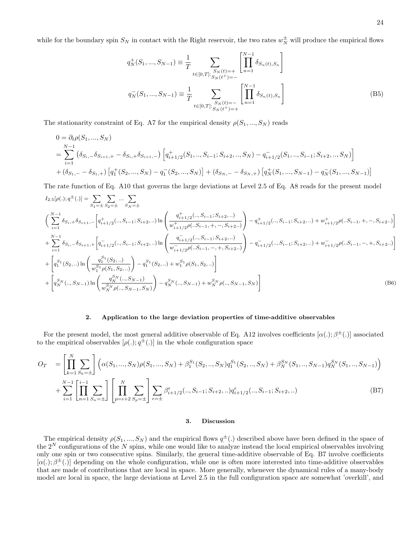while for the boundary spin  $S_N$  in contact with the Right reservoir, the two rates  $w_N^{\pm}$  will produce the empirical flows

$$
q_N^+(S_1, ..., S_{N-1}) \equiv \frac{1}{T} \sum_{t \in [0,T]: \ S_N(t) = + \atop t \in [0,T]: \ S_N(t) = -} \left[ \prod_{n=1}^{N-1} \delta_{S_n(t), S_n} \right]
$$
  

$$
q_N^-(S_1, ..., S_{N-1}) \equiv \frac{1}{T} \sum_{t \in [0,T]: \ S_N(t) = - \atop S_N(t) = +} \left[ \prod_{n=1}^{N-1} \delta_{S_n(t), S_n} \right]
$$
(B5)

The stationarity constraint of Eq. A7 for the empirical density  $\rho(S_1, ..., S_N)$  reads

$$
0 = \partial_t \rho(S_1, ..., S_N)
$$
  
=  $\sum_{i=1}^{N-1} (\delta_{S_i, -} \delta_{S_{i+1}, +} - \delta_{S_i, +} \delta_{S_{i+1}, -}) \left[ q_{i+1/2}^+(S_1, ..., S_{i-1}; S_{i+2}, ..., S_N) - q_{i+1/2}^-(S_1, ..., S_{i-1}; S_{i+2}, ..., S_N) \right]$   
+  $(\delta_{S_1, -} - \delta_{S_1, +}) \left[ q_1^+(S_2, ..., S_N) - q_1^-(S_2, ..., S_N) \right] + (\delta_{S_N, -} - \delta_{S_N, +}) \left[ q_N^+(S_1, ..., S_{N-1}) - q_N^-(S_1, ..., S_{N-1}) \right]$ 

The rate function of Eq. A10 that governs the large deviations at Level 2.5 of Eq. A8 reads for the present model

$$
I_{2.5}[\rho(.);q^{\pm}(.)] = \sum_{S_1=\pm} \sum_{S_2=\pm} \cdots \sum_{S_N=\pm} \left[ \sum_{S_1=\pm} \sum_{S_2=\pm} \sum_{S_2=\pm} \sum_{S_1=\pm} \sum_{S_2=\pm} \sum_{S_2=\pm} \sum_{S_2=\pm} \sum_{S_1=\pm} \sum_{S_2=\pm} \sum_{S_2=\pm} \sum_{S_2=\pm} \sum_{S_1=\pm} \sum_{S_2=\pm} \sum_{S_2=\pm} \sum_{S_2=\pm} \sum_{S_2=\pm} \sum_{S_1=\pm} \sum_{S_2=\pm} \sum_{S_2=\pm} \sum_{S_1=\pm} \sum_{S_2=\pm} \sum_{S_2=\pm} \sum_{S_2=\pm} \sum_{S_2=\pm} \sum_{S_2=\pm} \sum_{S_1=\pm} \sum_{S_2=\pm} \sum_{S_2=\pm} \sum_{S_2=\pm} \sum_{S_2=\pm} \sum_{S_2=\pm} \sum_{S_2=\pm} \sum_{S_2=\pm} \sum_{S_2=\pm} \sum_{S_2=\pm} \sum_{S_2=\pm} \sum_{S_2=\pm} \sum_{S_2=\pm} \sum_{S_2=\pm} \sum_{S_2=\pm} \sum_{S_2=\pm} \sum_{S_2=\pm} \sum_{S_2=\pm} \sum_{S_2=\pm} \sum_{S_2=\pm} \sum_{S_2=\pm} \sum_{S_2=\pm} \sum_{S_2=\pm} \sum_{S_2=\pm} \sum_{S_2=\pm} \sum_{S_2=\pm} \sum_{S_2=\pm} \sum_{S_2=\pm} \sum_{S_2=\pm} \sum_{S_2=\pm} \sum_{S_2=\pm} \sum_{S_2=\pm} \sum_{S_2=\pm} \sum_{S_2=\pm} \sum_{S_2=\pm} \sum_{S_2=\pm} \sum_{S_2=\pm} \sum_{S_2=\pm} \sum_{S_2=\pm} \sum_{S_2=\pm} \sum_{S_2=\pm} \sum_{S_2=\pm} \sum_{S_2=\pm} \sum_{S_2=\pm} \sum_{S_2=\pm} \sum_{S_2=\pm} \sum_{S_2=\pm} \sum_{S_2=\pm} \sum_{S_2=\pm} \sum_{S_2=\pm} \sum_{S_2=\pm} \sum_{S_2=\pm} \sum_{S_2=\pm} \sum_{S_2=\
$$

#### 2. Application to the large deviation properties of time-additive observables

For the present model, the most general additive observable of Eq. A12 involves coefficients  $[\alpha(.); \beta^{\pm}(.)]$  associated to the empirical observables  $[\rho(.); q^{\pm}(.)]$  in the whole configuration space

$$
O_T = \left[ \prod_{k=1}^N \sum_{S_k = \pm} \right] \left( \alpha(S_1, ..., S_N) \rho(S_1, ..., S_N) + \beta_1^{S_1}(S_2, ..., S_N) q_1^{S_1}(S_2, ..., S_N) + \beta_N^{S_N}(S_1, ..., S_{N-1}) q_N^{S_N}(S_1, ..., S_{N-1}) \right) + \sum_{i=1}^{N-1} \left[ \prod_{n=1}^{i-1} \sum_{S_n = \pm} \right] \left[ \prod_{p=i+2}^N \sum_{S_p = \pm} \right] \sum_{\epsilon = \pm} \beta_{i+1/2}^{\epsilon}(:, S_{i-1}; S_{i+2}, ..) q_{i+1/2}^{\epsilon}(:, S_{i-1}; S_{i+2}, ..)
$$
(B7)

#### 3. Discussion

The empirical density  $\rho(S_1, ..., S_N)$  and the empirical flows  $q^{\pm}$ . described above have been defined in the space of the  $2^N$  configurations of the N spins, while one would like to analyze instead the local empirical observables involving only one spin or two consecutive spins. Similarly, the general time-additive observable of Eq. B7 involve coefficients  $[\alpha(.); \beta^{\pm}(.)]$  depending on the whole configuration, while one is often more interested into time-additive observables that are made of contributions that are local in space. More generally, whenever the dynamical rules of a many-body model are local in space, the large deviations at Level 2.5 in the full configuration space are somewhat 'overkill', and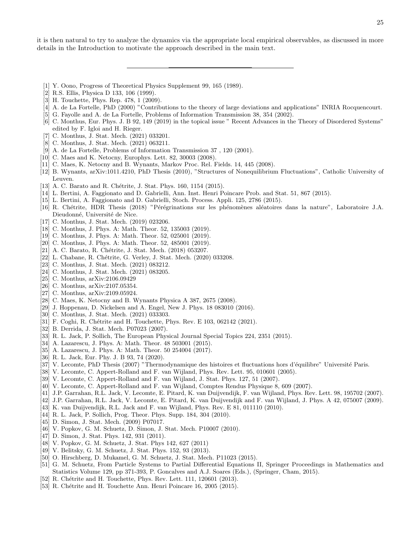it is then natural to try to analyze the dynamics via the appropriate local empirical observables, as discussed in more details in the Introduction to motivate the approach described in the main text.

- [1] Y. Oono, Progress of Theoretical Physics Supplement 99, 165 (1989).
- [2] R.S. Ellis, Physica D 133, 106 (1999).
- [3] H. Touchette, Phys. Rep. 478, 1 (2009).
- [4] A. de La Fortelle, PhD (2000) "Contributions to the theory of large deviations and applications" INRIA Rocquencourt.
- [5] G. Fayolle and A. de La Fortelle, Problems of Information Transmission 38, 354 (2002).
- [6] C. Monthus, Eur. Phys. J. B 92, 149 (2019) in the topical issue " Recent Advances in the Theory of Disordered Systems" edited by F. Igloi and H. Rieger.
- [7] C. Monthus, J. Stat. Mech. (2021) 033201.
- [8] C. Monthus, J. Stat. Mech. (2021) 063211.
- [9] A. de La Fortelle, Problems of Information Transmission 37 , 120 (2001).
- [10] C. Maes and K. Netocny, Europhys. Lett. 82, 30003 (2008).
- [11] C. Maes, K. Netocny and B. Wynants, Markov Proc. Rel. Fields. 14, 445 (2008).
- [12] B. Wynants, arXiv:1011.4210, PhD Thesis (2010), "Structures of Nonequilibrium Fluctuations", Catholic University of Leuven.
- [13] A. C. Barato and R. Chétrite, J. Stat. Phys. 160, 1154 (2015).
- [14] L. Bertini, A. Faggionato and D. Gabrielli, Ann. Inst. Henri Poincare Prob. and Stat. 51, 867 (2015).
- [15] L. Bertini, A. Faggionato and D. Gabrielli, Stoch. Process. Appli. 125, 2786 (2015).
- [16] R. Chétrite, HDR Thesis (2018) "Pérégrinations sur les phénomènes aléatoires dans la nature", Laboratoire J.A. Dieudonné, Université de Nice.
- [17] C. Monthus, J. Stat. Mech. (2019) 023206.
- [18] C. Monthus, J. Phys. A: Math. Theor. 52, 135003 (2019).
- [19] C. Monthus, J. Phys. A: Math. Theor. 52, 025001 (2019).
- [20] C. Monthus, J. Phys. A: Math. Theor. 52, 485001 (2019).
- [21] A. C. Barato, R. Chétrite, J. Stat. Mech. (2018) 053207.
- [22] L. Chabane, R. Chétrite, G. Verley, J. Stat. Mech. (2020) 033208.
- [23] C. Monthus, J. Stat. Mech. (2021) 083212.
- [24] C. Monthus, J. Stat. Mech. (2021) 083205.
- [25] C. Monthus, arXiv:2106.09429
- [26] C. Monthus, arXiv:2107.05354.
- [27] C. Monthus, arXiv:2109.05924.
- [28] C. Maes, K. Netocny and B. Wynants Physica A 387, 2675 (2008).
- [29] J. Hoppenau, D. Nickelsen and A. Engel, New J. Phys. 18 083010 (2016).
- [30] C. Monthus, J. Stat. Mech. (2021) 033303.
- [31] F. Coghi, R. Chétrite and H. Touchette, Phys. Rev. E 103, 062142 (2021).
- [32] B. Derrida, J. Stat. Mech. P07023 (2007).
- [33] R. L. Jack, P. Sollich, The European Physical Journal Special Topics 224, 2351 (2015).
- [34] A. Lazarescu, J. Phys. A: Math. Theor. 48 503001 (2015).
- [35] A. Lazarescu, J. Phys. A: Math. Theor. 50 254004 (2017).
- [36] R. L. Jack, Eur. Phy. J. B 93, 74 (2020).
- [37] V. Lecomte, PhD Thesis (2007) "Thermodynamique des histoires et fluctuations hors d'équilibre" Université Paris.
- [38] V. Lecomte, C. Appert-Rolland and F. van Wijland, Phys. Rev. Lett. 95, 010601 (2005).
- [39] V. Lecomte, C. Appert-Rolland and F. van Wijland, J. Stat. Phys. 127, 51 (2007).
- [40] V. Lecomte, C. Appert-Rolland and F. van Wijland, Comptes Rendus Physique 8, 609 (2007).
- [41] J.P. Garrahan, R.L. Jack, V. Lecomte, E. Pitard, K. van Duijvendijk, F. van Wijland, Phys. Rev. Lett. 98, 195702 (2007).
- [42] J.P. Garrahan, R.L. Jack, V. Lecomte, E. Pitard, K. van Duijvendijk and F. van Wijland, J. Phys. A 42, 075007 (2009).
- [43] K. van Duijvendijk, R.L. Jack and F. van Wijland, Phys. Rev. E 81, 011110 (2010).
- [44] R. L. Jack, P. Sollich, Prog. Theor. Phys. Supp. 184, 304 (2010).
- [45] D. Simon, J. Stat. Mech. (2009) P07017.
- [46] V. Popkov, G. M. Schuetz, D. Simon, J. Stat. Mech. P10007 (2010).
- [47] D. Simon, J. Stat. Phys. 142, 931 (2011).
- [48] V. Popkov, G. M. Schuetz, J. Stat. Phys 142, 627 (2011)
- [49] V. Belitsky, G. M. Schuetz, J. Stat. Phys. 152, 93 (2013).
- [50] O. Hirschberg, D. Mukamel, G. M. Schuetz, J. Stat. Mech. P11023 (2015).
- [51] G. M. Schuetz, From Particle Systems to Partial Differential Equations II, Springer Proceedings in Mathematics and Statistics Volume 129, pp 371-393, P. Goncalves and A.J. Soares (Eds.), (Springer, Cham, 2015).
- [52] R. Chétrite and H. Touchette, Phys. Rev. Lett. 111, 120601 (2013).
- [53] R. Chétrite and H. Touchette Ann. Henri Poincare 16, 2005 (2015).